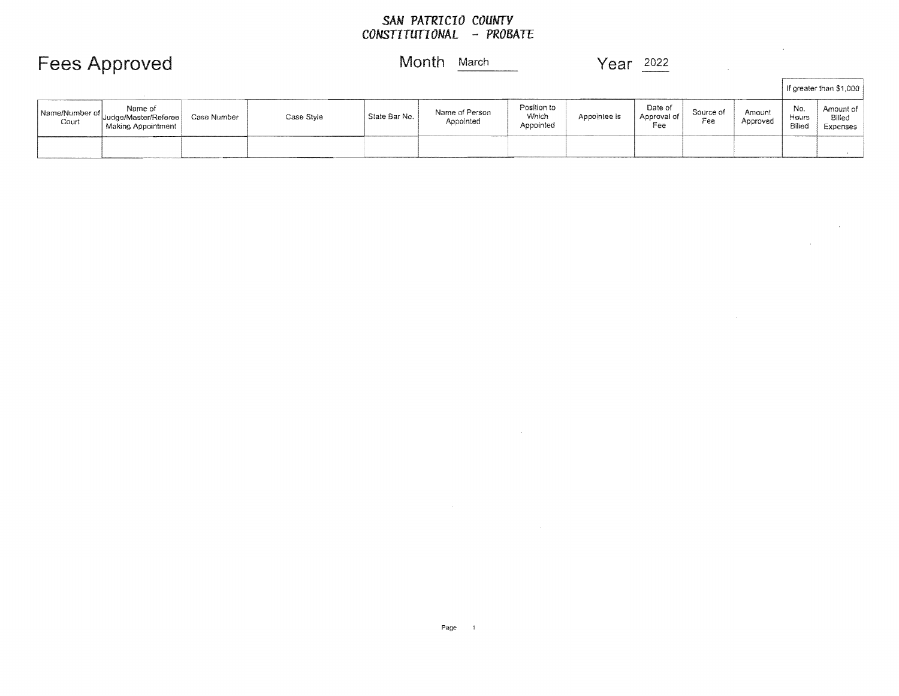#### *SAN PATRICIO COUNTY CONSTITUTIONAL* **-** *PROBATE*

| Month March | ___________________ | Year<br>2022<br>,,,,,,,,,,,,,,,,,,,, |  |
|-------------|---------------------|--------------------------------------|--|
|-------------|---------------------|--------------------------------------|--|

 $\sim 100$ 

 $\mathcal{L}^{\mathcal{L}}(\mathcal{L}^{\mathcal{L}})$  and  $\mathcal{L}^{\mathcal{L}}(\mathcal{L}^{\mathcal{L}})$  and  $\mathcal{L}^{\mathcal{L}}(\mathcal{L}^{\mathcal{L}})$ 

 $\mathcal{L}(\mathcal{L}^{\mathcal{L}})$  and  $\mathcal{L}^{\mathcal{L}}$  are  $\mathcal{L}^{\mathcal{L}}$  . In the contribution

| <b>Fees Approved</b> |
|----------------------|
|----------------------|

|  | Month |  |  |  |  | March |
|--|-------|--|--|--|--|-------|
|--|-------|--|--|--|--|-------|

|                         |                                                       |             |            |                            |                             |                                   |              |                               |                  |                    |                        | l If greater than \$1,000       |
|-------------------------|-------------------------------------------------------|-------------|------------|----------------------------|-----------------------------|-----------------------------------|--------------|-------------------------------|------------------|--------------------|------------------------|---------------------------------|
| Name/Number of<br>Court | Name of<br>Uudge/Master/Referee<br>Making Appointment | Case Number | Case Style | <sup>1</sup> State Bar No. | Name of Person<br>Appointed | Position to<br>Which<br>Appointed | Appointee is | Date of<br>Approval of<br>Fee | Source of<br>Fee | Amount<br>Approved | No.<br>Hours<br>Billed | Amount of<br>Billed<br>Expenses |
|                         |                                                       |             |            |                            |                             |                                   |              |                               |                  |                    |                        |                                 |

 $\mathcal{L}(\mathcal{L}(\mathcal{L}(\mathcal{L}(\mathcal{L}(\mathcal{L}(\mathcal{L}(\mathcal{L}(\mathcal{L}(\mathcal{L}(\mathcal{L}(\mathcal{L}(\mathcal{L}(\mathcal{L}(\mathcal{L}(\mathcal{L}(\mathcal{L}(\mathcal{L}(\mathcal{L}(\mathcal{L}(\mathcal{L}(\mathcal{L}(\mathcal{L}(\mathcal{L}(\mathcal{L}(\mathcal{L}(\mathcal{L}(\mathcal{L}(\mathcal{L}(\mathcal{L}(\mathcal{L}(\mathcal{L}(\mathcal{L}(\mathcal{L}(\mathcal{L}(\mathcal{L}(\mathcal{$ 

 $\label{eq:2.1} \mathcal{L}(\mathcal{L}^{\mathcal{L}}(\mathcal{L}^{\mathcal{L}}(\mathcal{L}^{\mathcal{L}}(\mathcal{L}^{\mathcal{L}}(\mathcal{L}^{\mathcal{L}}(\mathcal{L}^{\mathcal{L}}(\mathcal{L}^{\mathcal{L}}(\mathcal{L}^{\mathcal{L}}(\mathcal{L}^{\mathcal{L}}(\mathcal{L}^{\mathcal{L}}(\mathcal{L}^{\mathcal{L}}(\mathcal{L}^{\mathcal{L}}(\mathcal{L}^{\mathcal{L}}(\mathcal{L}^{\mathcal{L}}(\mathcal{L}^{\mathcal{L}}(\mathcal{L}^{\mathcal$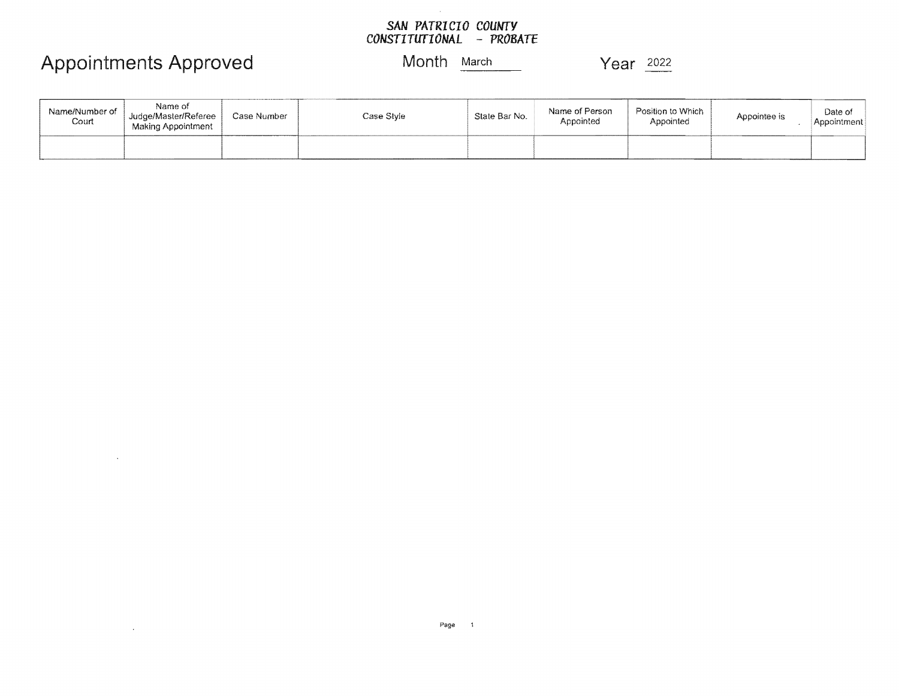#### *SAN PATRICIO COUNTY CONSTITUTIONAL* **-** *PROBATE*

### Appointments Approved Month March Year <sup>2022</sup>

 $\bar{\mathcal{A}}$ 

 $\bar{z}$ 

| Name/Number of<br>Court | Name of<br>Judge/Master/Referee<br>Making Appointment | Case Number | Case Style | State Bar No. | Name of Person<br>Appointed | Position to Which<br>Appointed | Appointee is | Date of<br>Appointment |
|-------------------------|-------------------------------------------------------|-------------|------------|---------------|-----------------------------|--------------------------------|--------------|------------------------|
|                         |                                                       |             |            |               |                             |                                |              |                        |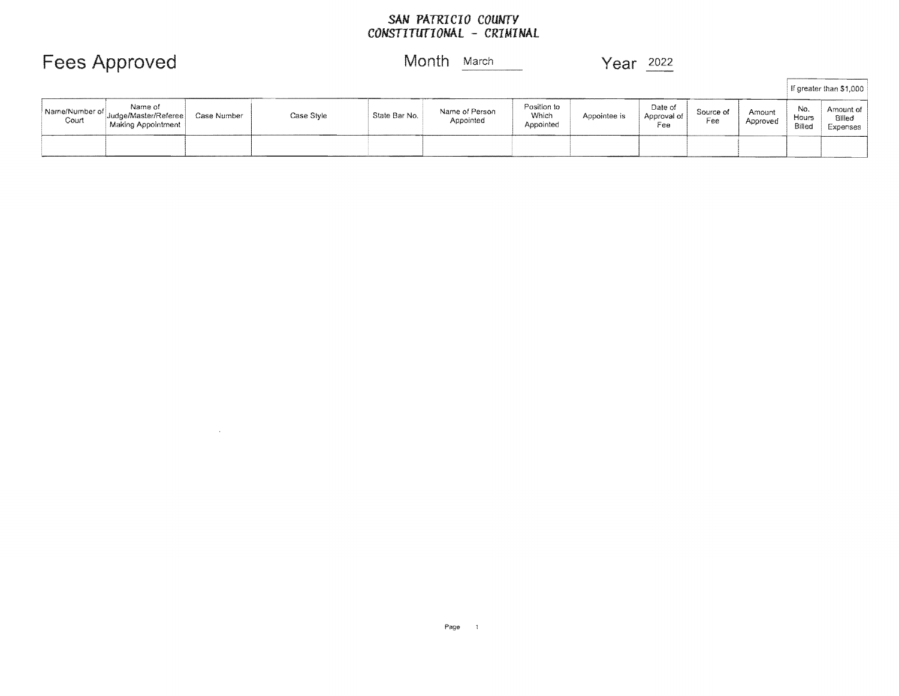## *SAN* PATRICIO *COUNTY CONSTITUTIONAL* - CRIMINAL

Fees Approved Month March Year 2022

 $\sim$ 

|                           |                                                       |             |            |               |                             |                                   |              |                               |                  |                    |                        | If greater than \$1,000         |
|---------------------------|-------------------------------------------------------|-------------|------------|---------------|-----------------------------|-----------------------------------|--------------|-------------------------------|------------------|--------------------|------------------------|---------------------------------|
| Name/Number of  <br>Court | Name of<br>Judge/Master/Referee<br>Making Appointment | Case Number | Case Style | State Bar No. | Name of Person<br>Appointed | Position to<br>Which<br>Appointed | Appointee is | Date of<br>Approval of<br>Fee | Source of<br>Fee | Amount<br>Approved | No.<br>Hours<br>Billed | Amount of<br>Billed<br>Expenses |
|                           |                                                       |             |            |               |                             |                                   |              |                               |                  |                    |                        |                                 |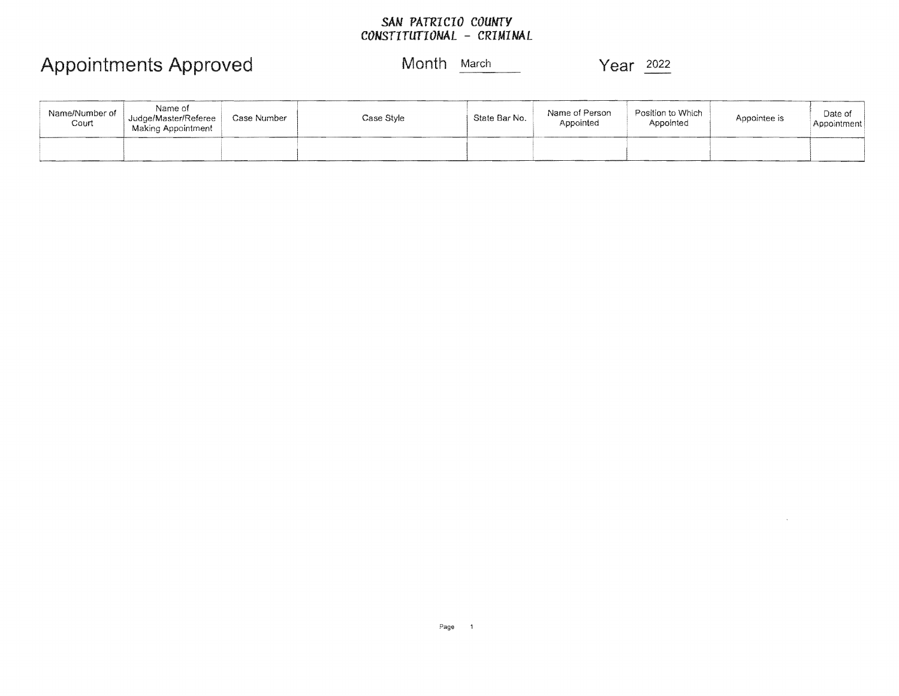### *SAM PATRICIO COUNTY CONSTITUTIOMAL* - *CRIMI MAL*

| Name/Number of<br>Court | Name of<br>Judge/Master/Referee<br>Making Appointment | Case Number | Case Style | State Bar No. | Name of Person<br>Appointed | Position to Which<br>Appointed | Appointee is | Date of<br>Appointment |
|-------------------------|-------------------------------------------------------|-------------|------------|---------------|-----------------------------|--------------------------------|--------------|------------------------|
|                         |                                                       |             |            |               |                             |                                |              |                        |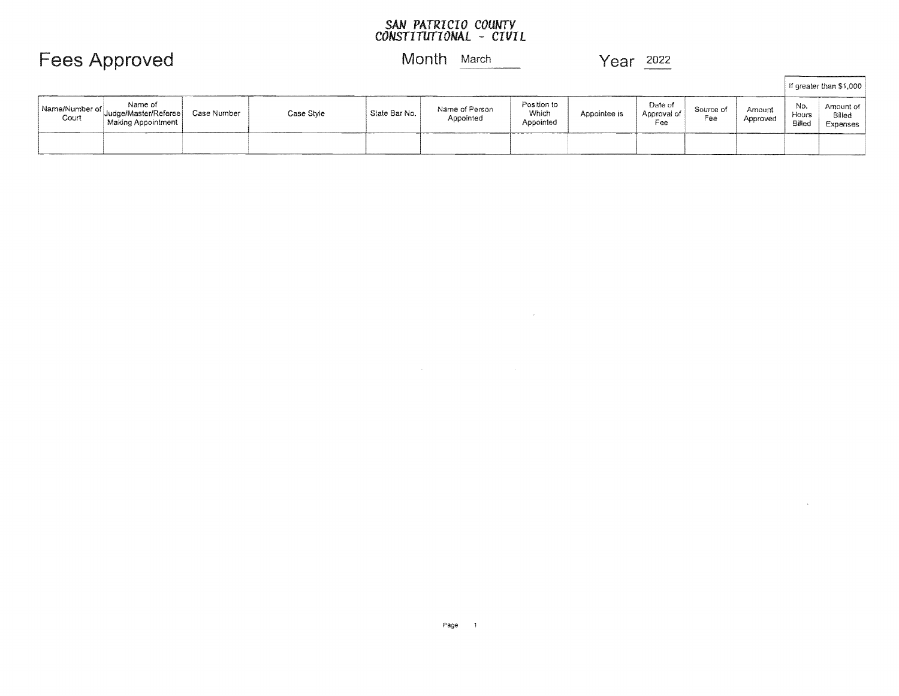#### *SAN* **PA***TRI* **CI***0 COUNTY CONSTITUTIONAL* **-** *CIVIL*

### Fees Approved Month **March** Year 2022

|                         |                                                       |             |            |               |                             |                                   |              |                               |                  |                    |                        | If greater than \$1,000         |
|-------------------------|-------------------------------------------------------|-------------|------------|---------------|-----------------------------|-----------------------------------|--------------|-------------------------------|------------------|--------------------|------------------------|---------------------------------|
| Name/Number of<br>Court | Name of<br>Judge/Master/Referee<br>Making Appointment | Case Number | Case Style | State Bar No. | Name of Person<br>Appointed | Position to<br>Which<br>Appointed | Appointee is | Date of<br>Approval of<br>Fee | Source of<br>Fee | Amount<br>Approved | No.<br>Hours<br>Billed | Amount of<br>Billed<br>Expenses |
|                         |                                                       |             |            |               |                             |                                   |              |                               |                  |                    |                        |                                 |

 $\mathcal{L}^{\text{max}}_{\text{max}}$ 

 $\label{eq:2.1} \mathcal{L}(\mathcal{L}^{\text{max}}_{\mathcal{L}}(\mathcal{L}^{\text{max}}_{\mathcal{L}})) \leq \mathcal{L}(\mathcal{L}^{\text{max}}_{\mathcal{L}}(\mathcal{L}^{\text{max}}_{\mathcal{L}}))$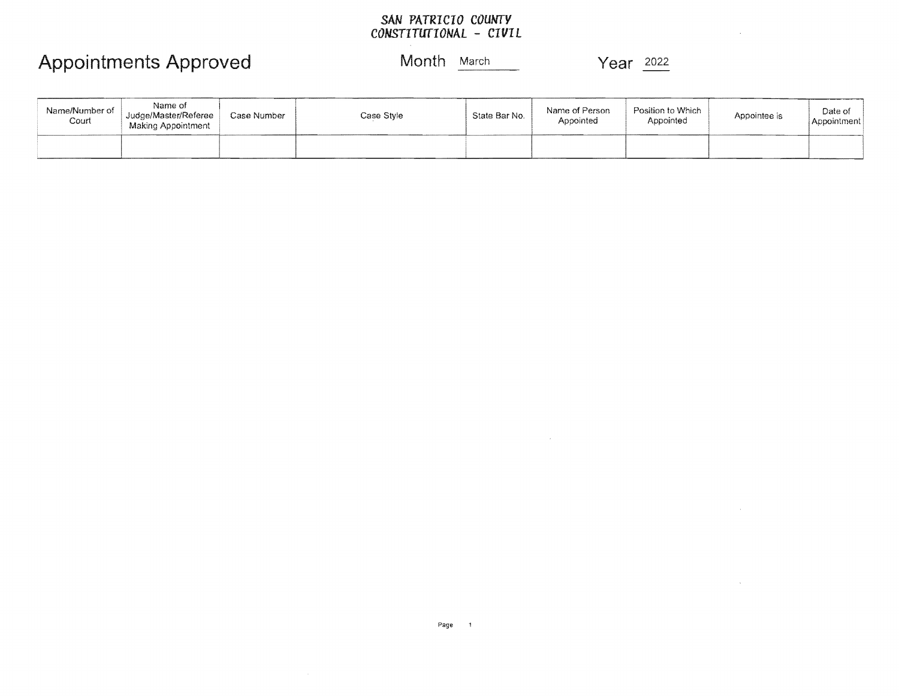### *SAN PATRICIO COUNTY CONSTITUTIONAL* - *CIVIL*

Appointments Approved Month March March Year 2022

 $\mathcal{L}$ 

 $\sim$ 

 $\sim$   $\sim$ 

| Name/Number of<br>Court | Name of<br>Judge/Master/Referee<br>Making Appointment | Case Number | Case Style | State Bar No. | Name of Person<br>Appointed | Position to Which<br>Appointed | Appointee is | Date of<br>Appointment |
|-------------------------|-------------------------------------------------------|-------------|------------|---------------|-----------------------------|--------------------------------|--------------|------------------------|
|                         |                                                       |             |            |               |                             |                                |              |                        |

 $\sim 10^7$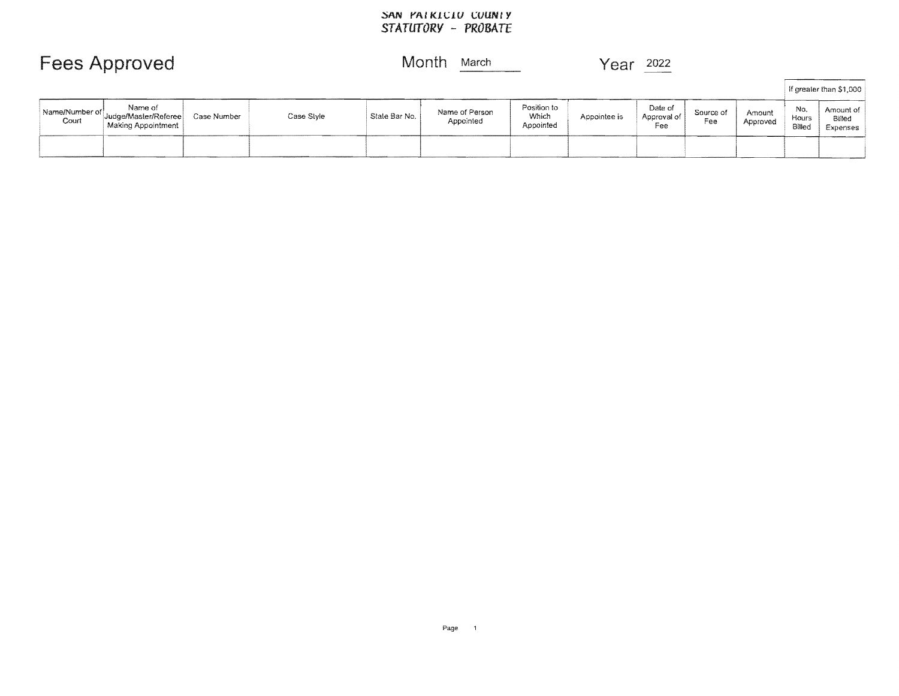## ~AN YAtK!~!U ~UUNtY *STATUTORY* **-** *PROBATE*

| <b>Fees Approved</b> | Month March | Year $2022$ |  |
|----------------------|-------------|-------------|--|
|                      |             |             |  |

|                         |                                                       |             |            |               |                             |                                   |              |                               |                  |                    |                        | If greater than \$1,000         |
|-------------------------|-------------------------------------------------------|-------------|------------|---------------|-----------------------------|-----------------------------------|--------------|-------------------------------|------------------|--------------------|------------------------|---------------------------------|
| Name/Number of<br>Court | Name of<br>Judge/Master/Referee<br>Making Appointment | Case Number | Case Style | State Bar No. | Name of Person<br>Appointed | Position to<br>Which<br>Appointed | Appointee is | Date of<br>Approval of<br>Fee | Source of<br>Fee | Amount<br>Approved | No.<br>Hours<br>Billed | Amount of<br>Billed<br>Expenses |
|                         |                                                       |             |            |               |                             |                                   |              |                               |                  |                    |                        |                                 |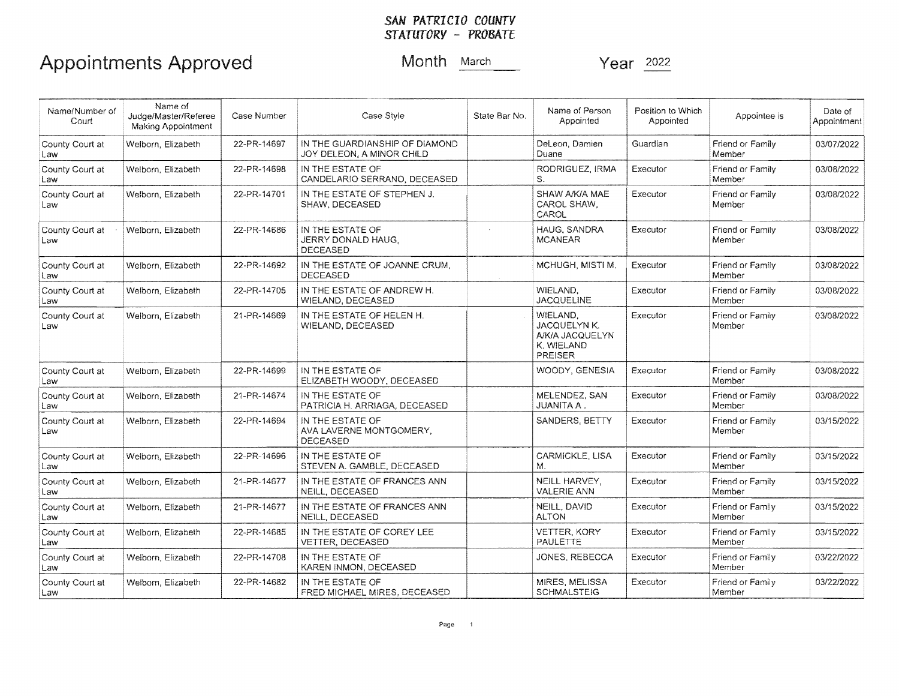#### *SAN PATRICIO COUNTY STATUTORY* - *PROBATE*

| Name/Number of<br>Court | Name of<br>Judge/Master/Referee<br><b>Making Appointment</b> | Case Number | Case Style                                                     | State Bar No. | Name of Person<br>Appointed                                          | Position to Which<br>Appointed | Appointee is               | Date of<br>Appointment |
|-------------------------|--------------------------------------------------------------|-------------|----------------------------------------------------------------|---------------|----------------------------------------------------------------------|--------------------------------|----------------------------|------------------------|
| County Court at<br>Law  | Welborn, Elizabeth                                           | 22-PR-14697 | IN THE GUARDIANSHIP OF DIAMOND<br>JOY DELEON, A MINOR CHILD    |               | DeLeon, Damien<br>Duane                                              | Guardian                       | Friend or Family<br>Member | 03/07/2022             |
| County Court at<br>Law  | Welborn, Elizabeth                                           | 22-PR-14698 | IN THE ESTATE OF<br>CANDELARIO SERRANO, DECEASED               |               | RODRIGUEZ, IRMA<br>S.                                                | Executor                       | Friend or Family<br>Member | 03/08/2022             |
| County Court at<br>Law  | Welborn, Elizabeth                                           | 22-PR-14701 | IN THE ESTATE OF STEPHEN J.<br>SHAW, DECEASED                  |               | SHAW A/K/A MAE<br>CAROL SHAW,<br>CAROL                               | Executor                       | Friend or Family<br>Member | 03/08/2022             |
| County Court at<br>Law  | Welborn, Elizabeth                                           | 22-PR-14686 | IN THE ESTATE OF<br>JERRY DONALD HAUG,<br><b>DECEASED</b>      |               | HAUG, SANDRA<br><b>MCANEAR</b>                                       | Executor                       | Friend or Family<br>Member | 03/08/2022             |
| County Court at<br>Law  | Welborn, Elizabeth                                           | 22-PR-14692 | IN THE ESTATE OF JOANNE CRUM.<br><b>DECEASED</b>               |               | MCHUGH, MISTI M.                                                     | Executor                       | Friend or Family<br>Member | 03/08/2022             |
| County Court at<br>Law  | Welborn, Elizabeth                                           | 22-PR-14705 | IN THE ESTATE OF ANDREW H.<br>WIELAND, DECEASED                |               | WIELAND,<br><b>JACQUELINE</b>                                        | Executor                       | Friend or Family<br>Member | 03/08/2022             |
| County Court at<br>Law  | Welborn, Elizabeth                                           | 21-PR-14669 | IN THE ESTATE OF HELEN H.<br>WIELAND, DECEASED                 |               | WIELAND.<br>JACQUELYN K.<br>A/K/A JACQUELYN<br>K. WIELAND<br>PREISER | Executor                       | Friend or Family<br>Member | 03/08/2022             |
| County Court at<br>Law  | Welborn, Elizabeth                                           | 22-PR-14699 | IN THE ESTATE OF<br>ELIZABETH WOODY, DECEASED                  |               | WOODY, GENESIA                                                       | Executor                       | Friend or Family<br>Member | 03/08/2022             |
| County Court at<br>Law  | Welborn, Elizabeth                                           | 21-PR-14674 | IN THE ESTATE OF<br>PATRICIA H. ARRIAGA, DECEASED              |               | MELENDEZ, SAN<br><b>JUANITA A.</b>                                   | Executor                       | Friend or Family<br>Member | 03/08/2022             |
| County Court at<br>Law  | Welborn, Elizabeth                                           | 22-PR-14694 | IN THE ESTATE OF<br>AVA LAVERNE MONTGOMERY,<br><b>DECEASED</b> |               | SANDERS, BETTY                                                       | Executor                       | Friend or Family<br>Member | 03/15/2022             |
| County Court at<br>Law  | Welborn, Elizabeth                                           | 22-PR-14696 | IN THE ESTATE OF<br>STEVEN A. GAMBLE, DECEASED                 |               | CARMICKLE, LISA<br>Μ.                                                | Executor                       | Friend or Family<br>Member | 03/15/2022             |
| County Court at<br>Law  | Welborn, Elizabeth                                           | 21-PR-14677 | IN THE ESTATE OF FRANCES ANN<br>NEILL, DECEASED                |               | NEILL HARVEY,<br><b>VALERIE ANN</b>                                  | Executor                       | Friend or Family<br>Member | 03/15/2022             |
| County Court at<br>Law  | Welborn, Elizabeth                                           | 21-PR-14677 | IN THE ESTATE OF FRANCES ANN<br>NEILL, DECEASED                |               | NEILL, DAVID<br><b>ALTON</b>                                         | Executor                       | Friend or Family<br>Member | 03/15/2022             |
| County Court at<br>Law  | Welborn, Elizabeth                                           | 22-PR-14685 | IN THE ESTATE OF COREY LEE<br>VETTER, DECEASED                 |               | VETTER, KORY<br>PAULETTE                                             | Executor                       | Friend or Family<br>Member | 03/15/2022             |
| County Court at<br>Law  | Welborn, Elizabeth                                           | 22-PR-14708 | IN THE ESTATE OF<br>KAREN INMON, DECEASED                      |               | JONES, REBECCA                                                       | Executor                       | Friend or Family<br>Member | 03/22/2022             |
| County Court at<br>Law  | Welborn, Elizabeth                                           | 22-PR-14682 | IN THE ESTATE OF<br>FRED MICHAEL MIRES, DECEASED               |               | MIRES, MELISSA<br><b>SCHMALSTEIG</b>                                 | Executor                       | Friend or Family<br>Member | 03/22/2022             |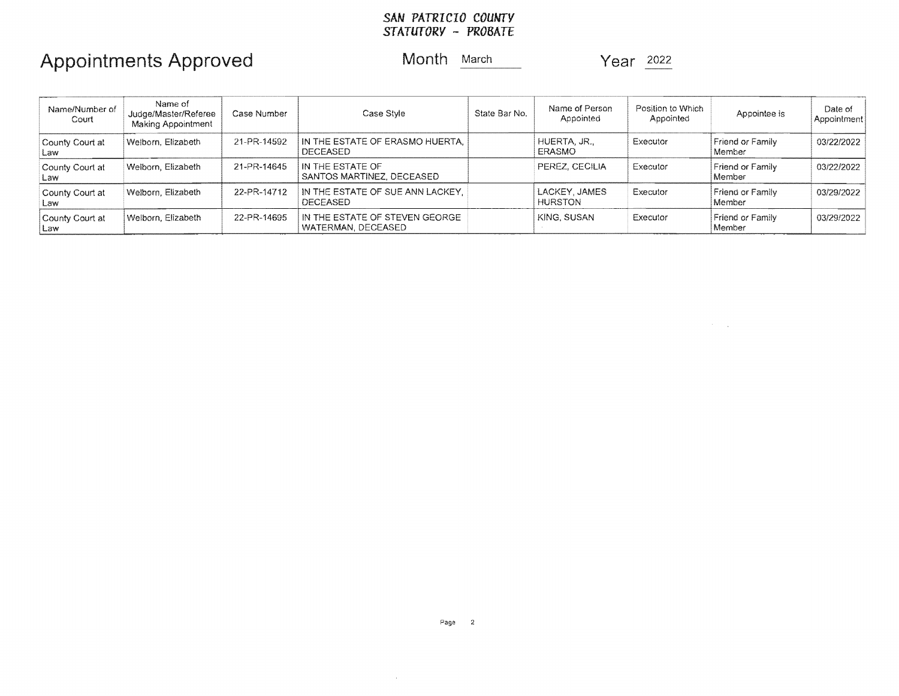#### *SAN PATRICIO COUNTY STATUTORY* - *PROBATE*

## Appointments Approved Month March Year 2022

 $\mathcal{O}(2\pi)$  . The set of  $\mathcal{O}(2\pi)$ 

| Name/Number of<br>Court | Name of<br>Judge/Master/Referee<br>Making Appointment | Case Number | Case Style                                            | State Bar No. | Name of Person<br>Appointed     | Position to Which<br>Appointed | Appointee is               | Date of<br>Appointment |
|-------------------------|-------------------------------------------------------|-------------|-------------------------------------------------------|---------------|---------------------------------|--------------------------------|----------------------------|------------------------|
| County Court at<br>Law  | Welborn, Elizabeth                                    | 21-PR-14592 | IN THE ESTATE OF ERASMO HUERTA.<br><b>DECEASED</b>    |               | HUERTA, JR.,<br>ERASMO          | Executor                       | Friend or Family<br>Member | 03/22/2022             |
| County Court at<br>Law  | Welborn, Elizabeth                                    | 21-PR-14645 | IN THE ESTATE OF<br>SANTOS MARTINEZ, DECEASED         |               | PEREZ, CECILIA                  | Executor                       | Friend or Family<br>Member | 03/22/2022             |
| County Court at<br>Law  | Welborn, Elizabeth                                    | 22-PR-14712 | IN THE ESTATE OF SUE ANN LACKEY.<br><b>DECEASED</b>   |               | LACKEY, JAMES<br><b>HURSTON</b> | Executor                       | Friend or Family<br>Member | 03/29/2022             |
| County Court at<br>Law  | Welborn, Elizabeth                                    | 22-PR-14695 | IN THE ESTATE OF STEVEN GEORGE.<br>WATERMAN, DECEASED |               | KING, SUSAN                     | Executor                       | Friend or Family<br>Member | 03/29/2022             |

 $\sim 10^{-1}$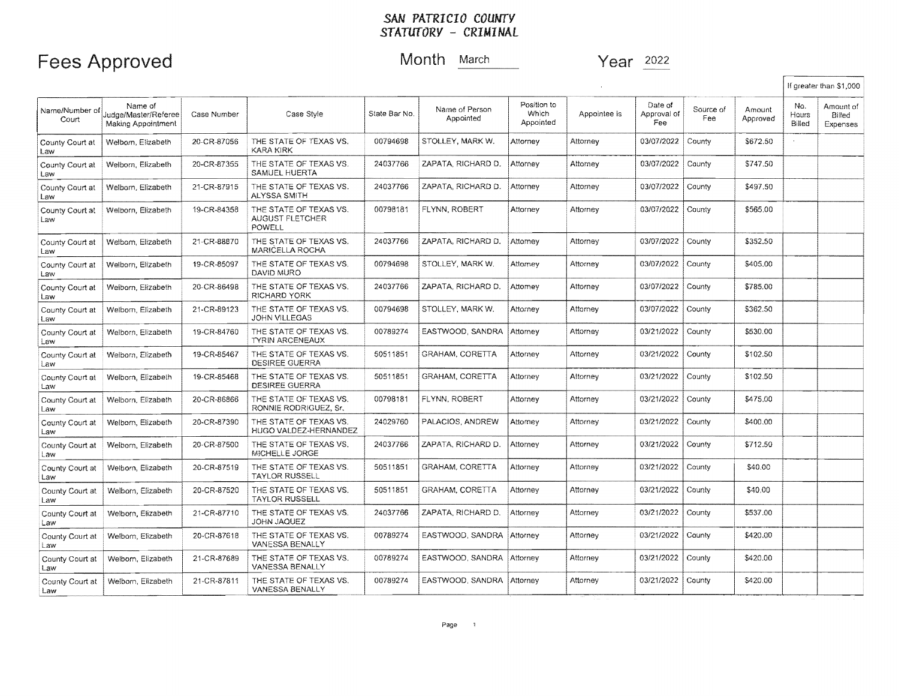### Fees Approved Month March Year 2022

 $\mathsf{r}$ 

|                         |                                                       |             |                                                     |               |                             |                                   |              |                               |                  |                    |                        | If greater than \$1,000         |
|-------------------------|-------------------------------------------------------|-------------|-----------------------------------------------------|---------------|-----------------------------|-----------------------------------|--------------|-------------------------------|------------------|--------------------|------------------------|---------------------------------|
| Name/Number of<br>Court | Name of<br>Judge/Master/Referee<br>Making Appointment | Case Number | Case Style                                          | State Bar No. | Name of Person<br>Appointed | Position to<br>Which<br>Appointed | Appointee is | Date of<br>Approval of<br>Fee | Source of<br>Fee | Amount<br>Approved | No.<br>Hours<br>Billed | Amount of<br>Billed<br>Expenses |
| County Court at<br>Law  | Welborn, Elizabeth                                    | 20-CR-87056 | THE STATE OF TEXAS VS.<br><b>KARA KIRK</b>          | 00794698      | STOLLEY, MARK W.            | Attorney                          | Attorney     | 03/07/2022                    | County           | \$672.50           |                        |                                 |
| County Court at<br>Law  | Welborn, Elizabeth                                    | 20-CR-87355 | THE STATE OF TEXAS VS.<br>SAMUEL HUERTA             | 24037766      | ZAPATA, RICHARD D.          | Attorney                          | Attorney     | 03/07/2022                    | County           | \$747.50           |                        |                                 |
| County Court at<br>Law  | Welborn, Elizabeth                                    | 21-CR-87915 | THE STATE OF TEXAS VS.<br><b>ALYSSA SMITH</b>       | 24037766      | ZAPATA. RICHARD D.          | Attorney                          | Attorney     | 03/07/2022                    | County           | \$497.50           |                        |                                 |
| County Court at<br>Law  | Welborn, Elizabeth                                    | 19-CR-84358 | THE STATE OF TEXAS VS.<br>AUGUST FLETCHER<br>POWELL | 00798181      | FLYNN, ROBERT               | Attorney                          | Attorney     | 03/07/2022                    | County           | \$565.00           |                        |                                 |
| County Court at<br>Law  | Welbom, Elizabeth                                     | 21-CR-88870 | THE STATE OF TEXAS VS.<br>MARICELLA ROCHA           | 24037766      | ZAPATA, RICHARD D.          | Attorney                          | Attorney     | 03/07/2022                    | County           | \$352.50           |                        |                                 |
| County Court at<br>Law  | Welborn, Elizabeth                                    | 19-CR-85097 | THE STATE OF TEXAS VS.<br>DAVID MURO                | 00794698      | STOLLEY, MARK W.            | Attorney                          | Attorney     | 03/07/2022                    | County           | \$405.00           |                        |                                 |
| County Court at<br>Law  | Welborn, Elizabeth                                    | 20-CR-86498 | THE STATE OF TEXAS VS.<br>RICHARD YORK              | 24037766      | ZAPATA, RICHARD D.          | Attomey                           | Attorney     | 03/07/2022                    | County           | \$785.00           |                        |                                 |
| County Court at<br>Law  | Welbom, Elizabeth                                     | 21-CR-89123 | THE STATE OF TEXAS VS.<br><b>JOHN VILLEGAS</b>      | 00794698      | STOLLEY, MARK W.            | Attorney                          | Attorney     | 03/07/2022                    | County           | \$362.50           |                        |                                 |
| County Court at<br>Law  | Welborn, Elizabeth                                    | 19-CR-84760 | THE STATE OF TEXAS VS.<br><b>TYRIN ARCENEAUX</b>    | 00789274      | EASTWOOD, SANDRA            | Attorney                          | Attorney     | 03/21/2022                    | County           | \$530.00           |                        |                                 |
| County Court at<br>Law  | Welborn, Elizabeth                                    | 19-CR-85467 | THE STATE OF TEXAS VS.<br><b>DESIREE GUERRA</b>     | 50511851      | GRAHAM, CORETTA             | Attorney                          | Attorney     | 03/21/2022                    | County           | \$102.50           |                        |                                 |
| County Court at<br>Law  | Welborn, Elizabeth                                    | 19-CR-85468 | THE STATE OF TEXAS VS.<br><b>DESIREE GUERRA</b>     | 50511851      | GRAHAM, CORETTA             | Attorney                          | Attorney     | 03/21/2022                    | County           | \$102.50           |                        |                                 |
| County Court at<br>Law  | Welborn, Elizabeth                                    | 20-CR-86866 | THE STATE OF TEXAS VS.<br>RONNIE RODRIGUEZ, Sr.     | 00798181      | FLYNN, ROBERT               | Attorney                          | Attorney     | 03/21/2022                    | County           | \$475.00           |                        |                                 |
| County Court at<br>Law  | Welborn, Elizabeth                                    | 20-CR-87390 | THE STATE OF TEXAS VS.<br>HUGO VALDEZ-HERNANDEZ     | 24029760      | PALACIOS, ANDREW            | Attorney                          | Attorney     | 03/21/2022                    | County           | \$400.00           |                        |                                 |
| County Court at<br>Law  | Welborn, Elizabeth                                    | 20-CR-87500 | THE STATE OF TEXAS VS.<br>MICHELLE JORGE            | 24037766      | ZAPATA, RICHARD D.          | Attorney                          | Attorney     | 03/21/2022                    | County           | \$712.50           |                        |                                 |
| County Court at<br>Law  | Welborn, Elizabeth                                    | 20-CR-87519 | THE STATE OF TEXAS VS.<br><b>TAYLOR RUSSELL</b>     | 50511851      | <b>GRAHAM, CORETTA</b>      | Attorney                          | Attorney     | 03/21/2022                    | County           | \$40.00            |                        |                                 |
| County Court at<br>Law  | Welborn, Elizabeth                                    | 20-CR-87520 | THE STATE OF TEXAS VS.<br><b>TAYLOR RUSSELL</b>     | 50511851      | GRAHAM, CORETTA             | Attorney                          | Attorney     | 03/21/2022                    | County           | \$40.00            |                        |                                 |
| County Court at<br>Law  | Welborn, Elizabeth                                    | 21-CR-87710 | THE STATE OF TEXAS VS.<br>JOHN JAQUEZ               | 24037766      | ZAPATA, RICHARD D.          | Attorney                          | Attorney     | 03/21/2022                    | County           | \$537.00           |                        |                                 |
| County Court at<br>Law  | Welborn, Elizabeth                                    | 20-CR-87618 | THE STATE OF TEXAS VS.<br><b>VANESSA BENALLY</b>    | 00789274      | EASTWOOD, SANDRA            | Attorney                          | Attorney     | 03/21/2022                    | County           | \$420.00           |                        |                                 |
| County Court at<br>Law  | Welborn, Elizabeth                                    | 21-CR-87689 | THE STATE OF TEXAS VS.<br><b>VANESSA BENALLY</b>    | 00789274      | EASTWOOD, SANDRA            | Attorney                          | Attorney     | 03/21/2022                    | County           | \$420.00           |                        |                                 |
| County Court at<br>Law  | Welborn, Elizabeth                                    | 21-CR-87811 | THE STATE OF TEXAS VS.<br>VANESSA BENALLY           | 00789274      | EASTWOOD, SANDRA            | Attorney                          | Attorney     | 03/21/2022                    | County           | \$420.00           |                        |                                 |
|                         |                                                       |             |                                                     |               |                             |                                   |              |                               |                  |                    |                        |                                 |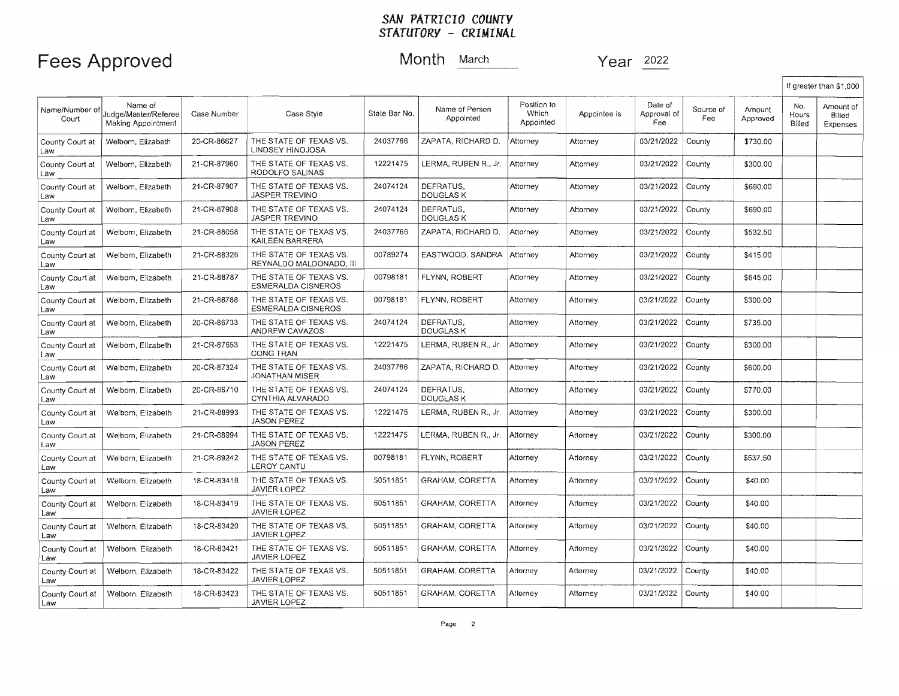### Fees Approved Month **March** Year 2022

|                         |                                                              |             |                                                     |               |                               |                                   |              |                               |                  |                    |                        | If greater than \$1,000         |
|-------------------------|--------------------------------------------------------------|-------------|-----------------------------------------------------|---------------|-------------------------------|-----------------------------------|--------------|-------------------------------|------------------|--------------------|------------------------|---------------------------------|
| Name/Number of<br>Court | Name of<br>Judge/Master/Referee<br><b>Making Appointment</b> | Case Number | Case Style                                          | Stale Bar No. | Name of Person<br>Appointed   | Position to<br>Which<br>Appointed | Appointee is | Date of<br>Approval of<br>Fee | Source of<br>Fee | Amount<br>Approved | No.<br>Hours<br>Billed | Amount of<br>Billed<br>Expenses |
| County Court at<br>Law  | Welborn, Elizabeth                                           | 20-CR-86627 | THE STATE OF TEXAS VS.<br>LINDSEY HINOJOSA          | 24037766      | ZAPATA, RICHARD D.            | Attorney                          | Attorney     | 03/21/2022                    | County           | \$730.00           |                        |                                 |
| County Court at<br>Law  | Welborn, Elizabeth                                           | 21-CR-87960 | THE STATE OF TEXAS VS.<br>RODOLFO SALINAS           | 12221475      | LERMA, RUBEN R., Jr.          | Attorney                          | Attorney     | 03/21/2022                    | County           | \$300.00           |                        |                                 |
| County Court at<br>Law  | Welborn, Elizabeth                                           | 21-CR-87907 | THE STATE OF TEXAS VS.<br><b>JASPER TREVINO</b>     | 24074124      | DEFRATUS.<br><b>DOUGLASK</b>  | Attorney                          | Attorney     | 03/21/2022                    | County           | \$690.00           |                        |                                 |
| County Court at<br>Law  | Welborn, Elizabeth                                           | 21-CR-87908 | THE STATE OF TEXAS VS.<br><b>JASPER TREVINO</b>     | 24074124      | DEFRATUS.<br>DOUGLAS K        | Attorney                          | Attorney     | 03/21/2022                    | County           | \$690.00           |                        |                                 |
| County Court at<br>Law  | Welborn, Elizabeth                                           | 21-CR-88058 | THE STATE OF TEXAS VS.<br>KAILEEN BARRERA           | 24037766      | ZAPATA, RICHARD D.            | Attorney                          | Attorney     | 03/21/2022                    | County           | \$532.50           |                        |                                 |
| County Court at<br>Law  | Welborn, Elizabeth                                           | 21-CR-88326 | THE STATE OF TEXAS VS.<br>REYNALDO MALDONADO, III   | 00789274      | EASTWOOD, SANDRA              | Attorney                          | Attorney     | 03/21/2022                    | County           | \$415.00           |                        |                                 |
| County Court at<br>Law  | Welborn, Elizabeth                                           | 21-CR-88787 | THE STATE OF TEXAS VS.<br><b>ESMERALDA CISNEROS</b> | 00798181      | FLYNN, ROBERT                 | Attorney                          | Attorney     | 03/21/2022                    | County           | \$645.00           |                        |                                 |
| County Court at<br>Law  | Welborn, Elizabeth                                           | 21-CR-88788 | THE STATE OF TEXAS VS.<br><b>ESMERALDA CISNEROS</b> | 00798181      | FLYNN, ROBERT                 | Attorney                          | Attorney     | 03/21/2022                    | County           | \$300.00           |                        |                                 |
| County Court at<br>Law  | Welborn, Elizabeth                                           | 20-CR-86733 | THE STATE OF TEXAS VS.<br>ANDREW CAVAZOS            | 24074124      | DEFRATUS.<br><b>DOUGLAS K</b> | Attorney                          | Attorney     | 03/21/2022                    | County           | \$735.00           |                        |                                 |
| County Court at<br>Law  | Welborn, Elizabeth                                           | 21-CR-87653 | THE STATE OF TEXAS VS.<br>CONG TRAN                 | 12221475      | LERMA, RUBEN R., Jr.          | Attorney                          | Attorney     | 03/21/2022                    | County           | \$300.00           |                        |                                 |
| County Court at<br>Law  | Welborn, Elizabeth                                           | 20-CR-87324 | THE STATE OF TEXAS VS.<br>JONATHAN MISER            | 24037766      | ZAPATA, RICHARD D.            | Attorney                          | Attorney     | 03/21/2022                    | County           | \$600.00           |                        |                                 |
| County Court at<br>Law  | Welborn, Elizabeth                                           | 20-CR-86710 | THE STATE OF TEXAS VS.<br>CYNTHIA ALVARADO          | 24074124      | DEFRATUS,<br><b>DOUGLAS K</b> | Attorney                          | Attorney     | 03/21/2022                    | County           | \$770.00           |                        |                                 |
| County Court at<br>Law  | Welborn, Elizabeth                                           | 21-CR-88993 | THE STATE OF TEXAS VS.<br><b>JASON PEREZ</b>        | 12221475      | LERMA, RUBEN R., Jr.          | Attorney                          | Attorney     | 03/21/2022                    | County           | \$300.00           |                        |                                 |
| County Court at<br>Law  | Welborn, Elizabeth                                           | 21-CR-88994 | THE STATE OF TEXAS VS.<br><b>JASON PEREZ</b>        | 12221475      | LERMA, RUBEN R., Jr.          | Attorney                          | Attorney     | 03/21/2022                    | County           | \$300.00           |                        |                                 |
| County Court at<br>Law  | Welborn, Elizabeth                                           | 21-CR-89242 | THE STATE OF TEXAS VS.<br>LEROY CANTU               | 00798181      | FLYNN, ROBERT                 | Attorney                          | Attorney     | 03/21/2022                    | County           | \$537,50           |                        |                                 |
| County Court at<br>Law  | Welborn, Elizabeth                                           | 18-CR-83418 | THE STATE OF TEXAS VS.<br><b>JAVIER LOPEZ</b>       | 50511851      | GRAHAM, CORETTA               | Attorney                          | Attorney     | 03/21/2022                    | County           | \$40.00            |                        |                                 |
| County Court at<br>Law  | Welborn, Elizabeth                                           | 18-CR-83419 | THE STATE OF TEXAS VS.<br><b>JAVIER LOPEZ</b>       | 50511851      | GRAHAM, CORETTA               | Attorney                          | Attorney     | 03/21/2022                    | County           | \$40.00            |                        |                                 |
| County Court at<br>Law  | Welborn, Elizabeth                                           | 18-CR-83420 | THE STATE OF TEXAS VS.<br><b>JAVIER LOPEZ</b>       | 50511851      | GRAHAM, CORETTA               | Attorney                          | Attorney     | 03/21/2022                    | County           | \$40.00            |                        |                                 |
| County Court at<br>Law  | Welborn, Elizabeth                                           | 18-CR-83421 | THE STATE OF TEXAS VS.<br><b>JAVIER LOPEZ</b>       | 50511851      | <b>GRAHAM, CORETTA</b>        | Attorney                          | Attorney     | 03/21/2022                    | County           | \$40.00            |                        |                                 |
| County Court at<br>Law  | Welborn, Elizabeth                                           | 18-CR-83422 | THE STATE OF TEXAS VS.<br>JAVIER LOPEZ              | 50511851      | <b>GRAHAM, CORETTA</b>        | Attorney                          | Attornev     | 03/21/2022                    | County           | \$40.00            |                        |                                 |
| County Court at<br>Law  | Welborn, Elizabeth                                           | 18-CR-83423 | THE STATE OF TEXAS VS.<br>JAVIER LOPEZ              | 50511851      | <b>GRAHAM, CORETTA</b>        | Attorney                          | Attorney     | 03/21/2022                    | County           | \$40.00            |                        |                                 |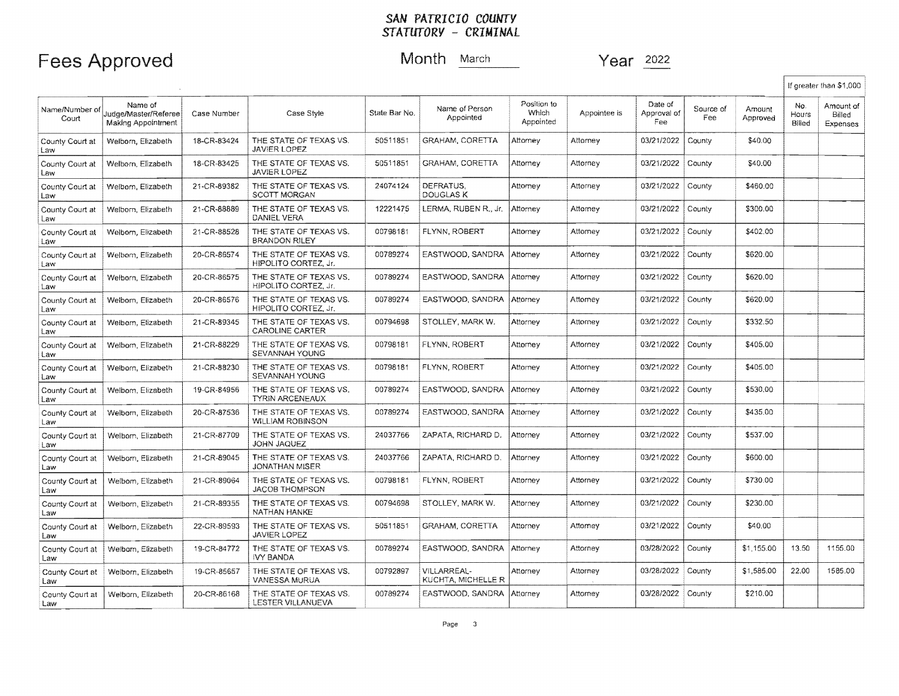### Fees Approved Month **March** Year 2022

|                         |                                                       |             |                                                       |               |                                   |                                   |              |                               |                  |                    |                        | If greater than \$1,000         |
|-------------------------|-------------------------------------------------------|-------------|-------------------------------------------------------|---------------|-----------------------------------|-----------------------------------|--------------|-------------------------------|------------------|--------------------|------------------------|---------------------------------|
| Name/Number of<br>Court | Name of<br>Judge/Master/Referee<br>Making Appointment | Case Number | Case Style                                            | State Bar No. | Name of Person<br>Appointed       | Position to<br>Which<br>Appointed | Appointee is | Date of<br>Approval of<br>Fee | Source of<br>Fee | Amount<br>Approved | No.<br>Hours<br>Billed | Amount of<br>Billed<br>Expenses |
| County Court at<br>Law  | Welborn, Elizabeth                                    | 18-CR-83424 | THE STATE OF TEXAS VS.<br><b>JAVIER LOPEZ</b>         | 50511851      | <b>GRAHAM, CORETTA</b>            | Attomey                           | Attomey      | 03/21/2022                    | County           | \$40.00            |                        |                                 |
| County Court at<br>Law  | Welborn, Elizabeth                                    | 18-CR-83425 | THE STATE OF TEXAS VS.<br>JAVIER LOPEZ                | 50511851      | <b>GRAHAM, CORETTA</b>            | Attornev                          | Attorney     | 03/21/2022                    | County           | \$40.00            |                        |                                 |
| County Court at<br>Law  | Welbom, Elizabeth                                     | 21-CR-89382 | THE STATE OF TEXAS VS.<br><b>SCOTT MORGAN</b>         | 24074124      | DEFRATUS.<br>DOUGLAS K            | Attorney                          | Attorney     | 03/21/2022                    | County           | \$460.00           |                        |                                 |
| County Court at<br>Law  | Welborn, Elizabeth                                    | 21-CR-88889 | THE STATE OF TEXAS VS.<br>DANIEL VERA                 | 12221475      | LERMA, RUBEN R., Jr.              | Attorney                          | Attorney     | 03/21/2022                    | County           | \$300.00           |                        |                                 |
| County Court at<br>Law  | Welborn, Elizabeth                                    | 21-CR-88528 | THE STATE OF TEXAS VS.<br><b>BRANDON RILEY</b>        | 00798181      | FLYNN, ROBERT                     | Attorney                          | Attomey      | 03/21/2022                    | County           | \$402.00           |                        |                                 |
| County Court at<br>Law  | Welborn, Elizabeth                                    | 20-CR-86574 | THE STATE OF TEXAS VS.<br>HIPOLITO CORTEZ, Jr.        | 00789274      | EASTWOOD, SANDRA                  | Attorney                          | Attorney     | 03/21/2022                    | County           | \$620.00           |                        |                                 |
| County Court at<br>Law  | Welborn, Elizabeth                                    | 20-CR-86575 | THE STATE OF TEXAS VS.<br><b>HIPOLITO CORTEZ. Jr.</b> | 00789274      | EASTWOOD, SANDRA                  | Attorney                          | Attorney     | 03/21/2022                    | County           | \$620.00           |                        |                                 |
| County Court at<br>Law  | Welborn, Elizabeth                                    | 20-CR-86576 | THE STATE OF TEXAS VS.<br><b>HIPOLITO CORTEZ. Jr.</b> | 00789274      | EASTWOOD, SANDRA                  | Attorney                          | Attomey      | 03/21/2022                    | County           | \$620.00           |                        |                                 |
| County Court at<br>Law  | Welbom, Elizabeth                                     | 21-CR-89345 | THE STATE OF TEXAS VS.<br><b>CAROLINE CARTER</b>      | 00794698      | STOLLEY, MARK W.                  | Attorney                          | Attorney     | 03/21/2022                    | County           | \$332.50           |                        |                                 |
| County Court at<br>Law  | Welbom, Elizabeth                                     | 21-CR-88229 | THE STATE OF TEXAS VS.<br>SEVANNAH YOUNG              | 00798181      | FLYNN, ROBERT                     | Attorney                          | Attorney     | 03/21/2022                    | County           | \$405.00           |                        |                                 |
| County Court at<br>Law  | Welborn, Elizabeth                                    | 21-CR-88230 | THE STATE OF TEXAS VS.<br>SEVANNAH YOUNG              | 00798181      | FLYNN, ROBERT                     | Attornev                          | Attorney     | 03/21/2022                    | County           | \$405.00           |                        |                                 |
| County Court at<br>Law  | Welborn, Elizabeth                                    | 19-CR-84956 | THE STATE OF TEXAS VS.<br><b>TYRIN ARCENEAUX</b>      | 00789274      | EASTWOOD, SANDRA                  | Attorney                          | Attorney     | 03/21/2022                    | County           | \$530.00           |                        |                                 |
| County Court at<br>Law  | Welborn, Elizabeth                                    | 20-CR-87536 | THE STATE OF TEXAS VS.<br>WILLIAM ROBINSON            | 00789274      | EASTWOOD, SANDRA                  | Attorney                          | Attorney     | 03/21/2022                    | County           | \$435.00           |                        |                                 |
| County Court at<br>Law  | Welborn, Elizabeth                                    | 21-CR-87709 | THE STATE OF TEXAS VS.<br>JOHN JAQUEZ                 | 24037766      | ZAPATA, RICHARD D.                | Attorney                          | Attorney     | 03/21/2022                    | County           | \$537.00           |                        |                                 |
| County Court at<br>Law  | Welborn, Elizabeth                                    | 21-CR-89045 | THE STATE OF TEXAS VS.<br>JONATHAN MISER              | 24037766      | ZAPATA, RICHARD D.                | Attorney                          | Attorney     | 03/21/2022                    | County           | \$600.00           |                        |                                 |
| County Court at<br>Law  | Welborn, Elizabeth                                    | 21-CR-89064 | THE STATE OF TEXAS VS.<br><b>JACOB THOMPSON</b>       | 00798181      | FLYNN, ROBERT                     | Attorney                          | Attorney     | 03/21/2022                    | County           | \$730.00           |                        |                                 |
| County Court at<br>Law  | Welborn, Elizabeth                                    | 21-CR-89355 | THE STATE OF TEXAS VS.<br>NATHAN HANKE                | 00794698      | STOLLEY, MARK W.                  | Attorney                          | Attorney     | 03/21/2022                    | County           | \$230.00           |                        |                                 |
| County Court at<br>Law  | Welborn, Elizabeth                                    | 22-CR-89593 | THE STATE OF TEXAS VS.<br><b>JAVIER LOPEZ</b>         | 50511851      | GRAHAM, CORETTA                   | Attorney                          | Attomey      | 03/21/2022                    | County           | \$40.00            |                        |                                 |
| County Court at<br>Law  | Welborn, Elizabeth                                    | 19-CR-84772 | THE STATE OF TEXAS VS.<br>IVY BANDA                   | 00789274      | EASTWOOD, SANDRA                  | Attorney                          | Attorney     | 03/28/2022                    | County           | \$1,155.00         | 13.50                  | 1155.00                         |
| County Court at<br>Law  | Welborn, Elizabeth                                    | 19-CR-85657 | THE STATE OF TEXAS VS.<br>VANESSA MURUA               | 00792897      | VILLARREAL-<br>KUCHTA, MICHELLE R | Attorney                          | Attorney     | 03/28/2022                    | County           | \$1,585.00         | 22.00                  | 1585.00                         |
| County Court at<br>Law  | Welborn, Elizabeth                                    | 20-CR-86168 | THE STATE OF TEXAS VS.<br>LESTER VILLANUEVA           | 00789274      | EASTWOOD, SANDRA Attorney         |                                   | Attorney     | 03/28/2022                    | County           | \$210.00           |                        |                                 |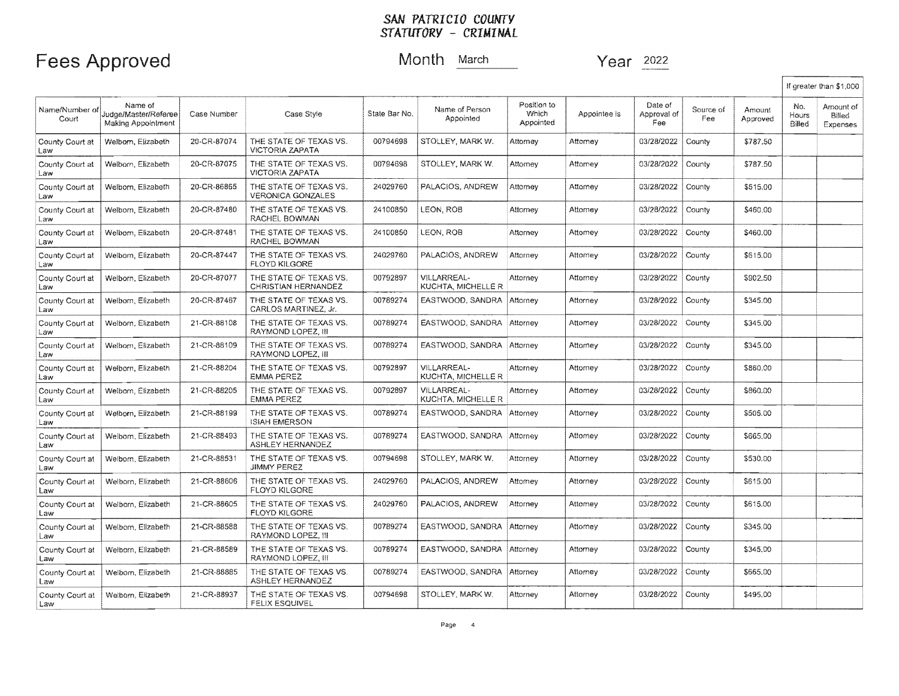### Fees Approved Month March Year 2022

|                         |                                                       |             |                                                    |               |                                          |                                   |              |                               |                  |                    |                        | If greater than \$1,000         |
|-------------------------|-------------------------------------------------------|-------------|----------------------------------------------------|---------------|------------------------------------------|-----------------------------------|--------------|-------------------------------|------------------|--------------------|------------------------|---------------------------------|
| Name/Number of<br>Court | Name of<br>Judge/Master/Referee<br>Making Appointment | Case Number | Case Style                                         | State Bar No. | Name of Person<br>Appointed              | Position to<br>Which<br>Appointed | Appointee is | Date of<br>Approval of<br>Fee | Source of<br>Fee | Amount<br>Approved | No.<br>Hours<br>Billed | Amount of<br>Billed<br>Expenses |
| County Court at<br>Law  | Welborn, Elizabeth                                    | 20-CR-87074 | THE STATE OF TEXAS VS.<br><b>VICTORIA ZAPATA</b>   | 00794698      | STOLLEY, MARK W.                         | Attorney                          | Attorney     | 03/28/2022                    | County           | \$787.50           |                        |                                 |
| County Court at<br>Law  | Welborn, Elizabeth                                    | 20-CR-87075 | THE STATE OF TEXAS VS.<br>VICTORIA ZAPATA          | 00794698      | STOLLEY, MARK W.                         | Attorney                          | Attorney     | 03/28/2022                    | County           | \$787.50           |                        |                                 |
| County Court at<br>Law  | Welborn, Elizabeth                                    | 20-CR-86865 | THE STATE OF TEXAS VS.<br><b>VERONICA GONZALES</b> | 24029760      | PALACIOS, ANDREW                         | Attorney                          | Attorney     | 03/28/2022                    | County           | \$515.00           |                        |                                 |
| County Court at<br>Law  | Welborn, Elizabeth                                    | 20-CR-87480 | THE STATE OF TEXAS VS.<br>RACHEL BOWMAN            | 24100850      | LEON, ROB                                | Attorney                          | Attomev      | 03/28/2022                    | County           | \$460.00           |                        |                                 |
| County Court at<br>Law  | Welborn, Elizabeth                                    | 20-CR-87481 | THE STATE OF TEXAS VS.<br>RACHEL BOWMAN            | 24100850      | LEON, ROB                                | Attorney                          | Attorney     | 03/28/2022                    | County           | \$460.00           |                        |                                 |
| County Court at<br>Law  | Welborn, Elizabeth                                    | 20-CR-87447 | THE STATE OF TEXAS VS.<br>FLOYD KILGORE            | 24029760      | PALACIOS, ANDREW                         | Attorney                          | Attorney     | 03/28/2022                    | County           | \$615.00           |                        |                                 |
| County Court at<br>Law  | Welborn, Elizabeth                                    | 20-CR-87077 | THE STATE OF TEXAS VS.<br>CHRISTIAN HERNANDEZ      | 00792897      | VILLARREAL-<br>KUCHTA, MICHELLE R        | Attorney                          | Attorney     | 03/28/2022                    | County           | \$902.50           |                        |                                 |
| County Court at<br>Law  | Welborn, Elizabeth                                    | 20-CR-87467 | THE STATE OF TEXAS VS.<br>CARLOS MARTINEZ. Jr.     | 00789274      | EASTWOOD, SANDRA                         | Attorney                          | Attorney     | 03/28/2022                    | County           | \$345.00           |                        |                                 |
| County Court at<br>Law  | Welborn, Elizabeth                                    | 21-CR-88108 | THE STATE OF TEXAS VS.<br>RAYMOND LOPEZ, III       | 00789274      | EASTWOOD, SANDRA                         | Attorney                          | Attornev     | 03/28/2022                    | County           | \$345.00           |                        |                                 |
| County Court at<br>Law  | Welborn, Elizabeth                                    | 21-CR-88109 | THE STATE OF TEXAS VS.<br>RAYMOND LOPEZ. III       | 00789274      | EASTWOOD, SANDRA Attorney                |                                   | Attorney     | 03/28/2022                    | County           | \$345.00           |                        |                                 |
| County Court at<br>Law  | Welborn, Elizabeth                                    | 21-CR-88204 | THE STATE OF TEXAS VS.<br>EMMA PEREZ               | 00792897      | VILLARREAL-<br>KUCHTA, MICHELLE R        | Attorney                          | Attorney     | 03/28/2022                    | County           | \$860.00           |                        |                                 |
| County Court at<br>Law  | Welborn, Elizabeth                                    | 21-CR-88205 | THE STATE OF TEXAS VS.<br><b>EMMA PEREZ</b>        | 00792897      | <b>VILLARREAL-</b><br>KUCHTA, MICHELLE R | Attorney                          | Attorney     | 03/28/2022                    | County           | \$860.00           |                        |                                 |
| County Court at<br>Law  | Welborn, Elizabeth                                    | 21-CR-88199 | THE STATE OF TEXAS VS.<br><b>ISIAH EMERSON</b>     | 00789274      | EASTWOOD, SANDRA                         | Attorney                          | Attorney     | 03/28/2022                    | County           | \$505.00           |                        |                                 |
| County Court at<br>Law  | Welborn, Elizabeth                                    | 21-CR-88493 | THE STATE OF TEXAS VS.<br>ASHLEY HERNANDEZ         | 00789274      | EASTWOOD, SANDRA                         | Attorney                          | Attomev      | 03/28/2022                    | County           | \$665,00           |                        |                                 |
| County Court at<br>Law  | Welborn, Elizabeth                                    | 21-CR-88531 | THE STATE OF TEXAS VS.<br><b>JIMMY PEREZ</b>       | 00794698      | STOLLEY, MARK W.                         | Attorney                          | Attorney     | 03/28/2022                    | County           | \$530.00           |                        |                                 |
| County Court at<br>Law  | Welborn, Elizabeth                                    | 21-CR-88606 | THE STATE OF TEXAS VS.<br><b>FLOYD KILGORE</b>     | 24029760      | PALACIOS, ANDREW                         | Attorney                          | Attorney     | 03/28/2022                    | County           | \$615.00           |                        |                                 |
| County Court at<br>Law  | Welborn, Elizabeth                                    | 21-CR-88605 | THE STATE OF TEXAS VS.<br>FLOYD KILGORE            | 24029760      | PALACIOS, ANDREW                         | Attorney                          | Attorney     | 03/28/2022                    | County           | \$615.00           |                        |                                 |
| County Court at<br>Law  | Welborn, Elizabeth                                    | 21-CR-88588 | THE STATE OF TEXAS VS.<br>RAYMOND LOPEZ, III       | 00789274      | EASTWOOD, SANDRA                         | Attorney                          | Attorney     | 03/28/2022                    | County           | \$345.00           |                        |                                 |
| County Court at<br>Law  | Welborn, Elizabeth                                    | 21-CR-88589 | THE STATE OF TEXAS VS.<br>RAYMOND LOPEZ, III       | 00789274      | EASTWOOD, SANDRA                         | Attorney                          | Attorney     | 03/28/2022                    | County           | \$345.00           |                        |                                 |
| County Court at<br>Law  | Welborn, Elizabeth                                    | 21-CR-88885 | THE STATE OF TEXAS VS.<br>ASHLEY HERNANDEZ         | 00789274      | EASTWOOD, SANDRA                         | Attorney                          | Attorney     | 03/28/2022                    | County           | \$665.00           |                        |                                 |
| County Court at<br>Law  | Welborn, Elizabeth                                    | 21-CR-88937 | THE STATE OF TEXAS VS.<br><b>FELIX ESQUIVEL</b>    | 00794698      | STOLLEY, MARK W.                         | Attorney                          | Attorney     | 03/28/2022                    | County           | \$495.00           |                        |                                 |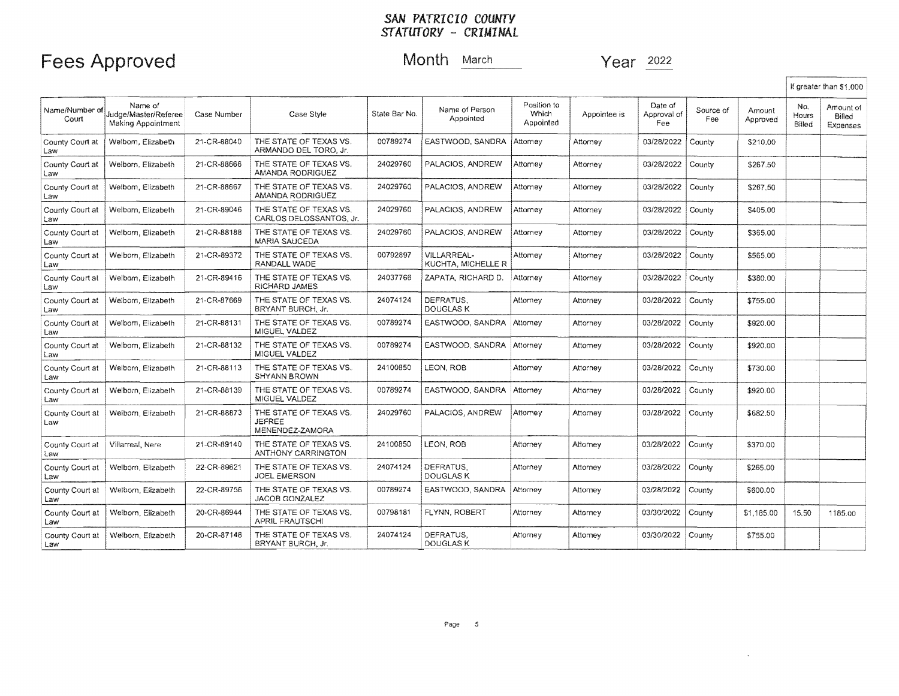### Fees Approved Month March 2022

If greater than \$1.000

Name of Person Position to<br>Appointed Mhich Name/Number of Name of ,<br>Court Court Date of Source of Amount No. Amount of Source of Amount No. Amount of Silled Judge/Master/Referee Case Number | Case Style Case Style Appointee is Approval of<br>Fee State Bar No. **State Bar No.** Appointed Appointed Appointed Approved Billed Expenses 21-CR-88040 | THE STATE OF TEXAS VS. 00789274 | EASTWOOD, SANDRA Attorney County Court at Welborn, Elizabeth Attorney 03/28/2022 County | \$210.00 Law ARMANDO DEL TORO, Jr. Welborn, Elizabeth 21-CR-88666 THE STATE OF TEXAS VS.<br>AMANDA RODRIGUEZ 24029760 PALACIOS, ANDREW Attorney 03/28/2022 County 1 \$267.50 County Court at Attorney Law AMANDA RODRIGUEZ<br>
County Court at Welborn, Elizabeth 21-CR-88667 THE STATE OF TEXAS<br>
County Court at Welborn, Elizabeth 21-CR-89046 THE STATE OF TEXAS<br>
Capital County Court at Welborn, Elizabeth 21-CR-89046 THE STATE O Welborn, Elizabeth | 21-CR-88667 | THE STATE OF TEXAS VS. 24029760 PALACIOS, ANDREW Attorney 03/28/2022 County | \$267.50 **Attorney** AMANDA RODRIGUEZ Welborn, Flizabeth | 21-CR-89046 | THE STATE OF TEXAS VS. 24029760 PALACIOS, ANDREW Attorney 03/28/2022 Attorney County | \$405.00 Law CARLOS DELOSSANTOS, Jr. County Court at | Welborn, Elizabeth | 21-CR-88188 | THE STATE OF TEXAS VS.<br>| MARIA SAUCEDA 24029760 | PALACIOS, ANDREW | Attorney Attorney 03/28/2022 County | \$365.00 MARIA SAUCEDA County Court at | Welborn, Elizabeth | 21-CR-89372 | THE STATE OF TEXAS VS. 00792897 VILLARREAL- Attorney Attorney 03/28/2022 County | \$565.00 Law RANDALL WADE KUCHTA, MICHELLE R 24037766 ZAPATA, RICHARD D. 03/28/2022 County Court at Welborn, Elizabeth 21-CR-89416 THE STATE OF TEXAS VS.<br>Law RICHARD JAMES Attorney Attorney County \$380.00 RICHARD JAMES County Court at Welborn, Elizabeth 21-CR-87669 THE STATE OF TEXAS VS. 24074124 DEFRATUS, Attorney 03/28/2022 County | \$755.00 Attorney Law BRYANT BURCH, Jr. DOUGLAS K County Court at | Welborn, Elizabeth | 21-CR-88131 | THE STATE OF TEXAS VS. 00789274 EASTWOOD, SANDRA Attorney Attorney 03/28/2022 County | \$920.00 Law **MIGUEL VALDEZ** County Court at Welborn, Elizabeth | 21-CR-88132 | THE STATE OF TEXAS VS. 00789274 EASTWOOD, SANDRA Attorney Attorney 03/28/2022 County | \$920.00 Law MIGUEL VALDEZ County Court at | Welborn, Elizabeth | 21-CR-88113 | THE STATE OF TEXAS VS. 24100850 LEON, ROB Attorney Attorney 03/28/2022 County **\$730.00** Law SHYANN BROWN County Court at Welborn, Elizabeth 21-CR-88139 | THE STATE OF TEXAS VS. 00789274 EASTWOOD. SANDRA Attorney 03/28/2022 County \$920.00 **Attorney** Law **MIGUEL VALDEZ** County Court at Welborn, Elizabeth 21-CR-88873 THE STATE OF TEXAS VS.<br>Law JEFREE 24029760 PALACIOS, ANDREW Attorney Attorney 03/28/2022 County \$682.50 Law Julie (JEFREE MENENDEZ-ZAMORA 03/28/2022 County Court at | Villarreal, Nere | 21-CR-89140 | THE STATE OF TEXAS VS. 24100850 LEON, ROB Attorney Attorney County | \$370.00 Law I ANTHONY CARRINGTON County Court at Welborn, Elizabeth 22-CR-89621 | THE STATE OF TEXAS VS. 24074124 DEFRATUS, Attorney 03/28/2022 County Attorney \$265.00 Law JOEL EMERSON DOUGLASK 03/28/2022 County \$600.00<br>03/30/2022 County \$1,185.00 15.50 1185.00<br>03/30/2022 County \$755.00 County Court at Welbom, Elizabeth | 22-CR-89756 | THE STATE OF TEXAS VS. 00789274 | EASTWOOD, SANDRA Attorney Attorney 03/28/2022 County JACOB GONZALEZ Law County Court at | Welborn, Elizabeth | 20-CR-86944 | THE STATE OF TEXAS VS.<br>Law | APRIL FRAUTSCHI 00798181 FLYNN, ROBERT Attorney Attorney APRIL FRAUTSCHI County Court at Welborn, Elizabeth 20-CR-87148 THE STATE OF TEXAS VS.<br>Law BRYANT BURCH, Jr. 24074124 DEFRATUS, Attorney Attorney 0313012022 County BRYANT BURCH, Jr. DOUGLAS<sub>K</sub>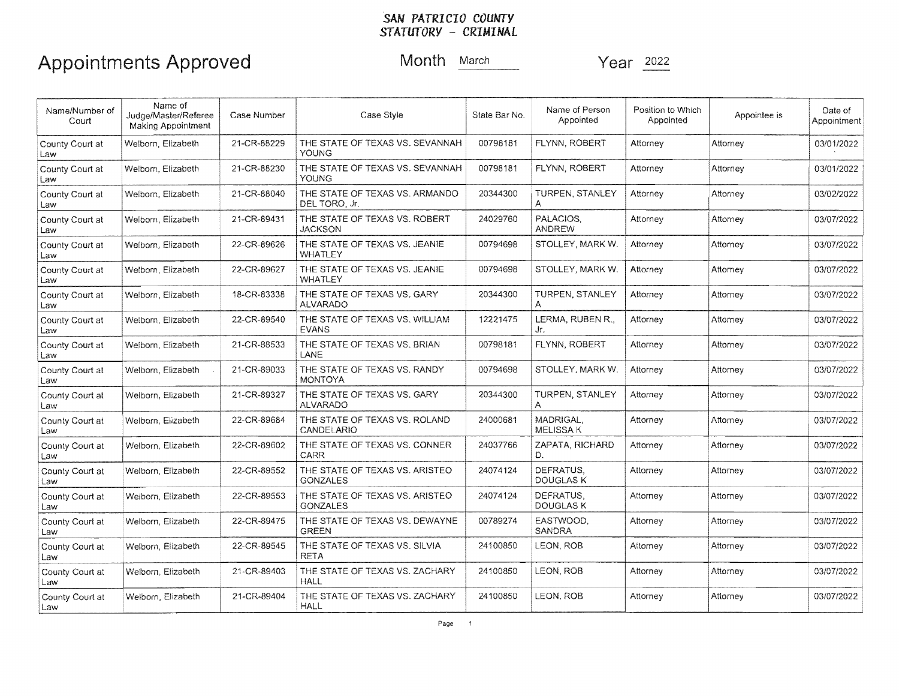# SAN *PATRICIO COUNTY - CRIMINAL*

| Name/Number of<br>Court | Name of<br>Judge/Master/Referee<br>Making Appointment | Case Number | Case Style                                        | State Bar No. | Name of Person<br>Appointed   | Position to Which<br>Appointed | Appointee is | Date of<br>Appointment |
|-------------------------|-------------------------------------------------------|-------------|---------------------------------------------------|---------------|-------------------------------|--------------------------------|--------------|------------------------|
| County Court at<br>Law  | Welborn, Elizabeth                                    | 21-CR-88229 | THE STATE OF TEXAS VS. SEVANNAH<br><b>YOUNG</b>   | 00798181      | FLYNN, ROBERT                 | Attorney                       | Attorney     | 03/01/2022             |
| County Court at<br>Law  | Welborn, Elizabeth                                    | 21-CR-88230 | THE STATE OF TEXAS VS. SEVANNAH<br>YOUNG          | 00798181      | FLYNN, ROBERT                 | Attorney                       | Attorney     | 03/01/2022             |
| County Court at<br>Law  | Welbom, Elizabeth                                     | 21-CR-88040 | THE STATE OF TEXAS VS. ARMANDO<br>DEL TORO. Jr.   | 20344300      | <b>TURPEN, STANLEY</b><br>A   | Attorney                       | Attorney     | 03/02/2022             |
| County Court at<br>Law  | Welborn, Elizabeth                                    | 21-CR-89431 | THE STATE OF TEXAS VS. ROBERT<br>JACKSON          | 24029760      | PALACIOS.<br><b>ANDREW</b>    | Attorney                       | Attorney     | 03/07/2022             |
| County Court at<br>Law  | Welborn, Elizabeth                                    | 22-CR-89626 | THE STATE OF TEXAS VS. JEANIE<br>WHATLEY          | 00794698      | STOLLEY, MARK W.              | Attorney                       | Attorney     | 03/07/2022             |
| County Court at<br>Law  | Welborn, Elizabeth                                    | 22-CR-89627 | THE STATE OF TEXAS VS. JEANIE<br><b>WHATLEY</b>   | 00794698      | STOLLEY, MARK W.              | Attorney                       | Attomey      | 03/07/2022             |
| County Court at<br>Law  | Welborn, Elizabeth                                    | 18-CR-83338 | THE STATE OF TEXAS VS. GARY<br>ALVARADO           | 20344300      | <b>TURPEN, STANLEY</b><br>A   | Attorney                       | Attorney     | 03/07/2022             |
| County Court at<br>Law  | Welborn, Elizabeth                                    | 22-CR-89540 | THE STATE OF TEXAS VS, WILLIAM<br>EVANS           | 12221475      | LERMA, RUBEN R.,<br>Jr.       | Attorney                       | Attorney     | 03/07/2022             |
| County Court at<br>Law  | Welborn, Elizabeth                                    | 21-CR-88533 | THE STATE OF TEXAS VS. BRIAN<br>LANE              | 00798181      | FLYNN, ROBERT                 | Attorney                       | Attorney     | 03/07/2022             |
| County Court at<br>Law  | Welborn, Elizabeth                                    | 21-CR-89033 | THE STATE OF TEXAS VS. RANDY<br><b>MONTOYA</b>    | 00794698      | STOLLEY, MARK W.              | Attorney                       | Attorney     | 03/07/2022             |
| County Court at<br>Law  | Welborn, Elizabeth                                    | 21-CR-89327 | THE STATE OF TEXAS VS. GARY<br><b>ALVARADO</b>    | 20344300      | TURPEN, STANLEY               | Attorney                       | Attorney     | 03/07/2022             |
| County Court at<br>Law  | Welborn, Elizabeth                                    | 22-CR-89684 | THE STATE OF TEXAS VS. ROLAND<br>CANDELARIO       | 24000681      | MADRIGAL.<br><b>MELISSAK</b>  | Attorney                       | Attorney     | 03/07/2022             |
| County Court at<br>Law  | Welborn, Elizabeth                                    | 22-CR-89602 | THE STATE OF TEXAS VS, CONNER<br>CARR             | 24037766      | ZAPATA, RICHARD<br>D.         | Attorney                       | Attorney     | 03/07/2022             |
| County Court at<br>Law  | Welborn, Elizabeth                                    | 22-CR-89552 | THE STATE OF TEXAS VS. ARISTEO<br><b>GONZALES</b> | 24074124      | DEFRATUS.<br><b>DOUGLAS K</b> | Attornev                       | Attorney     | 03/07/2022             |
| County Court at<br>Law  | Welborn, Elizabeth                                    | 22-CR-89553 | THE STATE OF TEXAS VS. ARISTEO<br><b>GONZALES</b> | 24074124      | DEFRATUS,<br>DOUGLAS K        | Attorney                       | Attorney     | 03/07/2022             |
| County Court at<br>Law  | Welborn, Elizabeth                                    | 22-CR-89475 | THE STATE OF TEXAS VS. DEWAYNE<br><b>GREEN</b>    | 00789274      | EASTWOOD.<br>SANDRA           | Attorney                       | Attorney     | 03/07/2022             |
| County Court at<br>Law  | Welborn, Elizabeth                                    | 22-CR-89545 | THE STATE OF TEXAS VS. SILVIA<br><b>RETA</b>      | 24100850      | LEON, ROB                     | Attorney                       | Attorney     | 03/07/2022             |
| County Court at<br>Law  | Welborn, Elizabeth                                    | 21-CR-89403 | THE STATE OF TEXAS VS. ZACHARY<br>HALL            | 24100850      | LEON, ROB                     | Attorney                       | Attorney     | 03/07/2022             |
| County Court at<br>Law  | Welborn, Elizabeth                                    | 21-CR-89404 | THE STATE OF TEXAS VS. ZACHARY<br><b>HALL</b>     | 24100850      | LEON, ROB                     | Attorney                       | Attorney     | 03/07/2022             |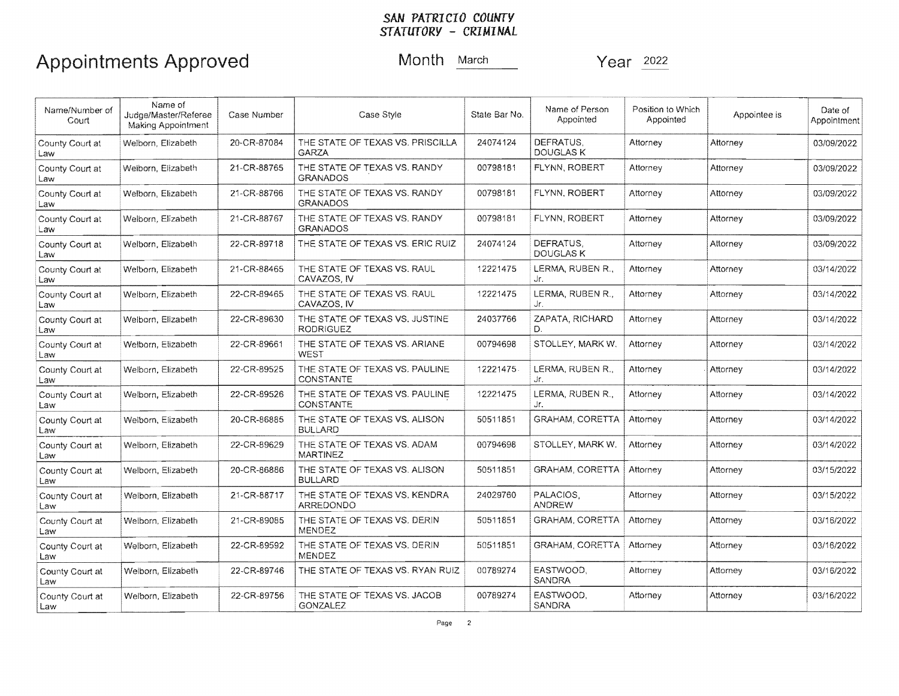### *STATUTORY CRIMINAL*  **SAN PATRICIO COUNTY**

| Name/Number of<br>Court | Name of<br>Judge/Master/Referee<br>Making Appointment | Case Number | Case Style                                         | State Bar No. | Name of Person<br>Appointed   | Position to Which<br>Appointed | Appointee is | Date of<br>Appointment |
|-------------------------|-------------------------------------------------------|-------------|----------------------------------------------------|---------------|-------------------------------|--------------------------------|--------------|------------------------|
| County Court at<br>Law  | Welborn, Elizabeth                                    | 20-CR-87084 | THE STATE OF TEXAS VS. PRISCILLA<br>GARZA          | 24074124      | DEFRATUS.<br><b>DOUGLAS K</b> | Attorney                       | Attorney     | 03/09/2022             |
| County Court at<br>Law  | Weiborn, Elizabeth                                    | 21-CR-88765 | THE STATE OF TEXAS VS. RANDY<br><b>GRANADOS</b>    | 00798181      | FLYNN, ROBERT                 | Attorney                       | Attorney     | 03/09/2022             |
| County Court at<br>Law  | Welborn, Elizabeth                                    | 21-CR-88766 | THE STATE OF TEXAS VS. RANDY<br><b>GRANADOS</b>    | 00798181      | FLYNN, ROBERT                 | Attorney                       | Attorney     | 03/09/2022             |
| County Court at<br>Law  | Welborn, Elizabeth                                    | 21-CR-88767 | THE STATE OF TEXAS VS. RANDY<br><b>GRANADOS</b>    | 00798181      | FLYNN, ROBERT                 | Attorney                       | Attorney     | 03/09/2022             |
| County Court at<br>Law  | Welborn, Elizabeth                                    | 22-CR-89718 | THE STATE OF TEXAS VS. ERIC RUIZ                   | 24074124      | DEFRATUS.<br>DOUGLAS K        | Attorney                       | Attorney     | 03/09/2022             |
| County Court at<br>Law  | Welborn, Elizabeth                                    | 21-CR-88465 | THE STATE OF TEXAS VS. RAUL<br>CAVAZOS, IV         | 12221475      | LERMA, RUBEN R.,<br>Jr.       | Attorney                       | Attorney     | 03/14/2022             |
| County Court at<br>Law  | Welborn, Elizabeth                                    | 22-CR-89465 | THE STATE OF TEXAS VS. RAUL<br>CAVAZOS, IV         | 12221475      | LERMA, RUBEN R.,<br>Jr.       | Attorney                       | Attorney     | 03/14/2022             |
| County Court at<br>Law  | Welborn, Elizabeth                                    | 22-CR-89630 | THE STATE OF TEXAS VS, JUSTINE<br><b>RODRIGUEZ</b> | 24037766      | ZAPATA, RICHARD<br>D.         | Attorney                       | Attorney     | 03/14/2022             |
| County Court at<br>Law  | Welborn, Elizabeth                                    | 22-CR-89661 | THE STATE OF TEXAS VS. ARIANE<br>WEST              | 00794698      | STOLLEY, MARK W.              | Attorney                       | Attorney     | 03/14/2022             |
| County Court at<br>Law  | Welborn, Elizabeth                                    | 22-CR-89525 | THE STATE OF TEXAS VS. PAULINE<br>CONSTANTE        | 12221475      | LERMA, RUBEN R.,<br>Jr.       | Attorney                       | Attorney     | 03/14/2022             |
| County Court at<br>Law  | Welborn, Elizabeth                                    | 22-CR-89526 | THE STATE OF TEXAS VS. PAULINE<br>CONSTANTE        | 12221475      | LERMA, RUBEN R.,<br>Jr.       | Attorney                       | Attorney     | 03/14/2022             |
| County Court at<br>Law  | Welborn, Elizabeth                                    | 20-CR-86885 | THE STATE OF TEXAS VS. ALISON<br><b>BULLARD</b>    | 50511851      | GRAHAM, CORETTA               | Attorney                       | Attorney     | 03/14/2022             |
| County Court at<br>Law  | Welborn, Elizabeth                                    | 22-CR-89629 | THE STATE OF TEXAS VS. ADAM<br><b>MARTINEZ</b>     | 00794698      | STOLLEY, MARK W.              | Attorney                       | Attorney     | 03/14/2022             |
| County Court at<br>Law  | Welborn, Elizabeth                                    | 20-CR-86886 | THE STATE OF TEXAS VS. ALISON<br><b>BULLARD</b>    | 50511851      | GRAHAM, CORETTA               | Attorney                       | Attorney     | 03/15/2022             |
| County Court at<br>Law  | Welborn, Elizabeth                                    | 21-CR-88717 | THE STATE OF TEXAS VS, KENDRA<br>ARREDONDO         | 24029760      | PALACIOS,<br><b>ANDREW</b>    | Attorney                       | Attorney     | 03/15/2022             |
| County Court at<br>Law  | Welborn, Elizabeth                                    | 21-CR-89085 | THE STATE OF TEXAS VS, DERIN<br>MENDEZ             | 50511851      | <b>GRAHAM, CORETTA</b>        | Attorney                       | Attorney     | 03/16/2022             |
| County Court at<br>Law  | Welborn, Elizabeth                                    | 22-CR-89592 | THE STATE OF TEXAS VS, DERIN<br>MENDEZ             | 50511851      | GRAHAM, CORETTA               | Attorney                       | Attorney     | 03/16/2022             |
| County Court at<br>Law  | Welborn, Elizabeth                                    | 22-CR-89746 | THE STATE OF TEXAS VS. RYAN RUIZ                   | 00789274      | EASTWOOD.<br><b>SANDRA</b>    | Attorney                       | Attomey      | 03/16/2022             |
| County Court at<br>Law  | Welborn, Elizabeth                                    | 22-CR-89756 | THE STATE OF TEXAS VS. JACOB<br><b>GONZALEZ</b>    | 00789274      | EASTWOOD.<br>SANDRA           | Attorney                       | Attorney     | 03/16/2022             |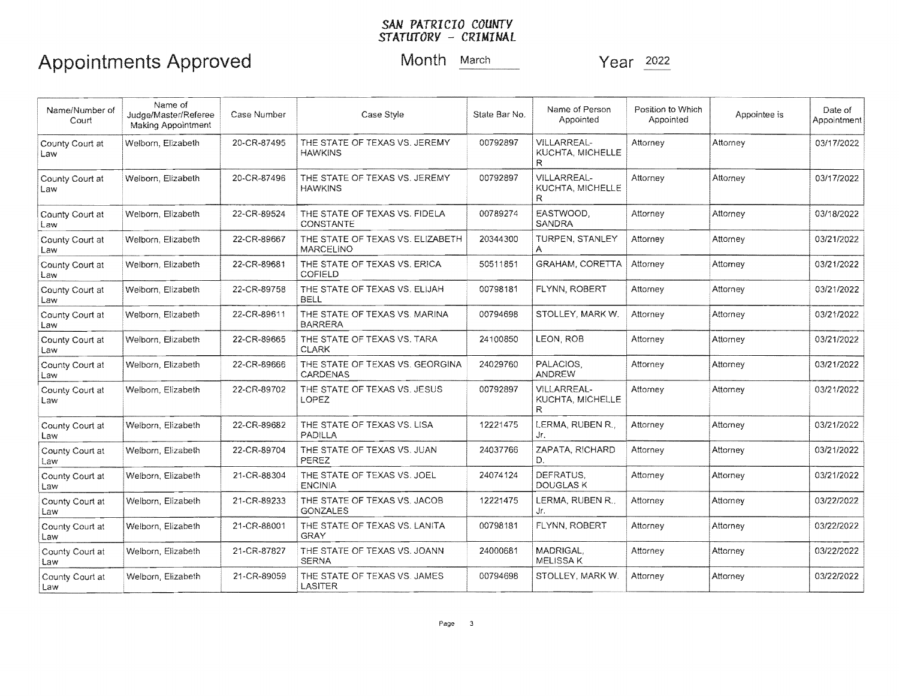| Name/Number of<br>Court | Name of<br>Judge/Master/Referee<br><b>Making Appointment</b> | Case Number | Case Style                                      | State Bar No. | Name of Person<br>Appointed                  | Position to Which<br>Appointed | Appointee is | Date of<br>Appointment |
|-------------------------|--------------------------------------------------------------|-------------|-------------------------------------------------|---------------|----------------------------------------------|--------------------------------|--------------|------------------------|
| County Court at<br>Law  | Welborn, Elizabeth                                           | 20-CR-87495 | THE STATE OF TEXAS VS. JEREMY<br><b>HAWKINS</b> | 00792897      | <b>VILLARREAL-</b><br>KUCHTA, MICHELLE<br>R  | Attorney                       | Attorney     | 03/17/2022             |
| County Court at<br>Law  | Welborn, Elizabeth                                           | 20-CR-87496 | THE STATE OF TEXAS VS. JEREMY<br><b>HAWKINS</b> | 00792897      | <b>VILLARREAL-</b><br>KUCHTA, MICHELLE<br>R. | Attorney                       | Attorney     | 03/17/2022             |
| County Court at<br>Law  | Welborn, Elizabeth                                           | 22-CR-89524 | THE STATE OF TEXAS VS. FIDELA<br>CONSTANTE      | 00789274      | EASTWOOD,<br>SANDRA                          | Attorney                       | Attorney     | 03/18/2022             |
| County Court at<br>Law  | Welborn, Elizabeth                                           | 22-CR-89667 | THE STATE OF TEXAS VS. ELIZABETH<br>MARCELINO   | 20344300      | TURPEN, STANLEY<br>A                         | Attorney                       | Attorney     | 03/21/2022             |
| County Court at<br>Law  | Welborn, Elizabeth                                           | 22-CR-89681 | THE STATE OF TEXAS VS. ERICA<br>COFIELD         | 50511851      | GRAHAM, CORETTA                              | Attorney                       | Attorney     | 03/21/2022             |
| County Court at<br>Law  | Welborn, Elizabeth                                           | 22-CR-89758 | THE STATE OF TEXAS VS. ELIJAH<br><b>BELL</b>    | 00798181      | FLYNN, ROBERT                                | Attorney                       | Attorney     | 03/21/2022             |
| County Court at<br>Law  | Welborn, Elizabeth                                           | 22-CR-89611 | THE STATE OF TEXAS VS. MARINA<br><b>BARRERA</b> | 00794698      | STOLLEY, MARK W.                             | Attorney                       | Attorney     | 03/21/2022             |
| County Court at<br>Law  | Welborn, Elizabeth                                           | 22-CR-89665 | THE STATE OF TEXAS VS. TARA<br><b>CLARK</b>     | 24100850      | LEON, ROB                                    | Attorney                       | Attorney     | 03/21/2022             |
| County Court at<br>Law  | Welborn, Elizabeth                                           | 22-CR-89666 | THE STATE OF TEXAS VS. GEORGINA<br>CARDENAS     | 24029760      | PALACIOS.<br><b>ANDREW</b>                   | Attorney                       | Attorney     | 03/21/2022             |
| County Court at<br>Law  | Welborn, Elizabeth                                           | 22-CR-89702 | THE STATE OF TEXAS VS. JESUS<br>LOPEZ           | 00792897      | <b>VILLARREAL-</b><br>KUCHTA, MICHELLE<br>R  | Attorney                       | Attorney     | 03/21/2022             |
| County Court at<br>Law  | Welborn, Elizabeth                                           | 22-CR-89682 | THE STATE OF TEXAS VS. LISA<br>PADILLA          | 12221475      | LERMA, RUBEN R.<br>Jr.                       | Attorney                       | Attorney     | 03/21/2022             |
| County Court at<br>Law  | Welborn, Elizabeth                                           | 22-CR-89704 | THE STATE OF TEXAS VS. JUAN<br>PEREZ            | 24037766      | ZAPATA, RICHARD<br>D.                        | Attorney                       | Attorney     | 03/21/2022             |
| County Court at<br>Law  | Welborn, Elizabeth                                           | 21-CR-88304 | THE STATE OF TEXAS VS. JOEL<br><b>ENCINIA</b>   | 24074124      | DEFRATUS.<br>DOUGLAS K                       | Attorney                       | Attorney     | 03/21/2022             |
| County Court at<br>Law  | Welborn, Elizabeth                                           | 21-CR-89233 | THE STATE OF TEXAS VS. JACOB<br><b>GONZALES</b> | 12221475      | LERMA, RUBEN R.<br>Jr.                       | Attorney                       | Attorney     | 03/22/2022             |
| County Court at<br>Law  | Welborn, Elizabeth                                           | 21-CR-88001 | THE STATE OF TEXAS VS. LANITA<br>GRAY           | 00798181      | FLYNN, ROBERT                                | Attorney                       | Attorney     | 03/22/2022             |
| County Court at<br>Law  | Welborn, Elizabeth                                           | 21-CR-87827 | THE STATE OF TEXAS VS. JOANN<br><b>SERNA</b>    | 24000681      | MADRIGAL.<br>MELISSA K                       | Attorney                       | Attorney     | 03/22/2022             |
| County Court at<br>Law  | Welborn, Elizabeth                                           | 21-CR-89059 | THE STATE OF TEXAS VS. JAMES<br>LASITER         | 00794698      | STOLLEY, MARK W.                             | Attorney                       | Attorney     | 03/22/2022             |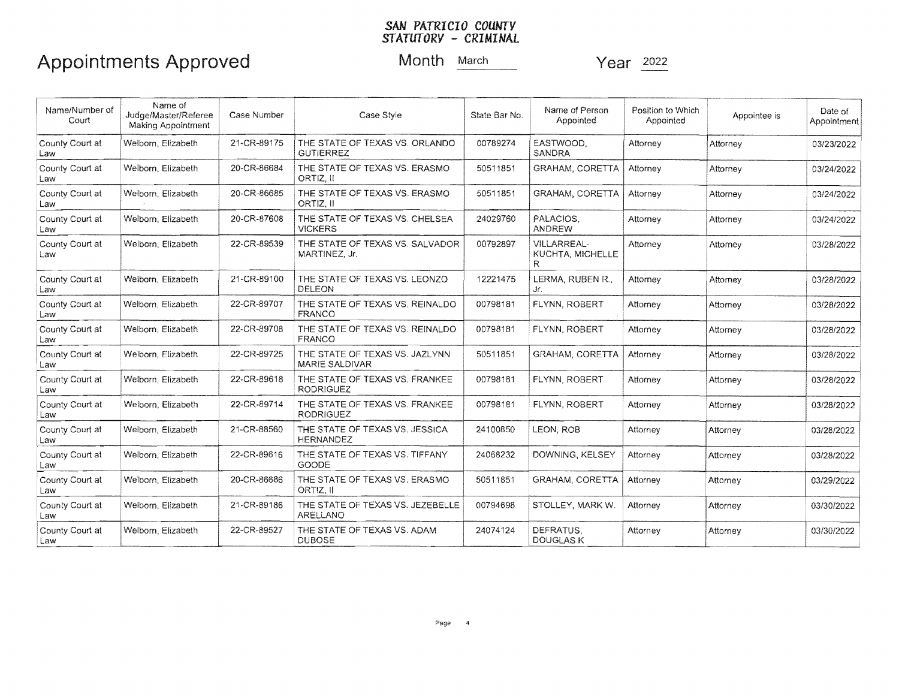| Name/Number of<br>Court | Name of<br>Judge/Master/Referee<br>Making Appointment | Case Number | Case Style                                         | State Bar No. | Name of Person<br>Appointed                         | Position to Which<br>Appointed | Appointee is | Date of<br>Appointment |
|-------------------------|-------------------------------------------------------|-------------|----------------------------------------------------|---------------|-----------------------------------------------------|--------------------------------|--------------|------------------------|
| County Court at<br>Law  | Welborn, Elizabeth                                    | 21-CR-89175 | THE STATE OF TEXAS VS. ORLANDO<br><b>GUTIERREZ</b> | 00789274      | EASTWOOD.<br>SANDRA                                 | Attorney                       | Attorney     | 03/23/2022             |
| County Court at<br>Law  | Welborn, Elizabeth                                    | 20-CR-86684 | THE STATE OF TEXAS VS. ERASMO<br>ORTIZ, II         | 50511851      | <b>GRAHAM, CORETTA</b>                              | Attorney                       | Attorney     | 03/24/2022             |
| County Court at<br>Law  | Welborn, Elizabeth                                    | 20-CR-86685 | THE STATE OF TEXAS VS. ERASMO<br>ORTIZ, II         | 50511851      | GRAHAM, CORETTA                                     | Attorney                       | Attorney     | 03/24/2022             |
| County Court at<br>Law  | Welborn, Elizabeth                                    | 20-CR-87608 | THE STATE OF TEXAS VS. CHELSEA<br><b>VICKERS</b>   | 24029760      | PALACIOS.<br><b>ANDREW</b>                          | Attorney                       | Attorney     | 03/24/2022             |
| County Court at<br>Law  | Welborn, Elizabeth                                    | 22-CR-89539 | THE STATE OF TEXAS VS. SALVADOR<br>MARTINEZ, Jr.   | 00792897      | <b>VILLARREAL-</b><br><b>KUCHTA, MICHELLE</b><br>R. | Attorney                       | Attorney     | 03/28/2022             |
| County Court at<br>Law  | Welborn, Elizabeth                                    | 21-CR-89100 | THE STATE OF TEXAS VS. LEONZO<br>DELEON            | 12221475      | LERMA, RUBEN R.,<br>Jr.                             | Attorney                       | Attorney     | 03/28/2022             |
| County Court at<br>Law  | Welborn, Elizabeth                                    | 22-CR-89707 | THE STATE OF TEXAS VS. REINALDO<br><b>FRANCO</b>   | 00798181      | FLYNN, ROBERT                                       | Attorney                       | Attorney     | 03/28/2022             |
| County Court at<br>Law  | Welborn, Elizabeth                                    | 22-CR-89708 | THE STATE OF TEXAS VS. REINALDO<br><b>FRANCO</b>   | 00798181      | FLYNN, ROBERT                                       | Attorney                       | Attorney     | 03/28/2022             |
| County Court at<br>Law  | Welborn, Elizabeth                                    | 22-CR-89725 | THE STATE OF TEXAS VS. JAZLYNN<br>MARIE SALDIVAR   | 50511851      | GRAHAM, CORETTA                                     | Attorney                       | Attorney     | 03/28/2022             |
| County Court at<br>Law  | Welborn, Elizabeth                                    | 22-CR-89618 | THE STATE OF TEXAS VS. FRANKEE<br><b>RODRIGUEZ</b> | 00798181      | FLYNN ROBERT                                        | Attorney                       | Attorney     | 03/28/2022             |
| County Court at<br>Law  | Welborn, Elizabeth                                    | 22-CR-89714 | THE STATE OF TEXAS VS. FRANKEE<br><b>RODRIGUEZ</b> | 00798181      | FLYNN, ROBERT                                       | Attorney                       | Attornev     | 03/28/2022             |
| County Court at<br>Law  | Welborn, Elizabeth                                    | 21-CR-88560 | THE STATE OF TEXAS VS. JESSICA<br>HERNANDEZ        | 24100850      | LEON, ROB                                           | Attorney                       | Attorney     | 03/28/2022             |
| County Court at<br>Law  | Welborn, Elizabeth                                    | 22-CR-89616 | THE STATE OF TEXAS VS. TIFFANY<br><b>GOODE</b>     | 24068232      | DOWNING, KELSEY                                     | Attorney                       | Attorney     | 03/28/2022             |
| County Court at<br>Law  | Welborn, Elizabeth                                    | 20-CR-86686 | THE STATE OF TEXAS VS, ERASMO<br>ORTIZ. II         | 50511851      | <b>GRAHAM, CORETTA</b>                              | Attorney                       | Attorney     | 03/29/2022             |
| County Court at<br>Law  | Welborn, Elizabeth                                    | 21-CR-89186 | THE STATE OF TEXAS VS. JEZEBELLE<br>ARELLANO       | 00794698      | STOLLEY, MARK W.                                    | Attorney                       | Attorney     | 03/30/2022             |
| County Court at<br>Law  | Welborn, Elizabeth                                    | 22-CR-89527 | THE STATE OF TEXAS VS. ADAM<br><b>DUBOSE</b>       | 24074124      | DEFRATUS.<br><b>DOUGLAS K</b>                       | Attorney                       | Attorney     | 03/30/2022             |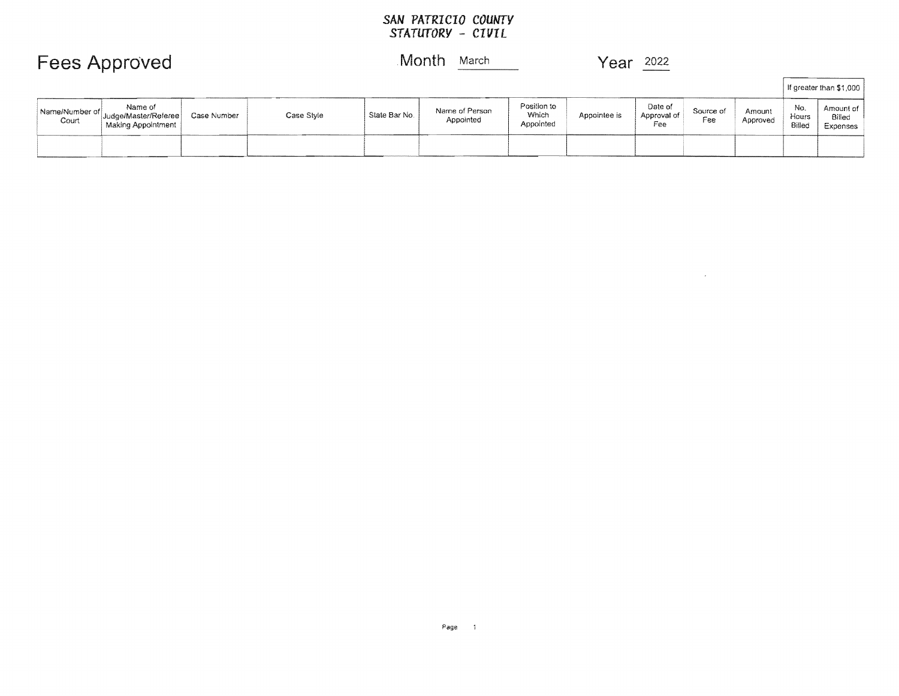$\mathcal{L}^{\text{max}}_{\text{max}}$  and  $\mathcal{L}^{\text{max}}_{\text{max}}$ 

If greater than \$1,000

| Fees Approved |  |  | Month | March | Year | 2022            |
|---------------|--|--|-------|-------|------|-----------------|
|               |  |  |       |       |      | <b>Box 1995</b> |

| Name/Number of<br>Court | Name of<br>Judge/Master/Referee<br>Making Appointment | Case Number | Case Style | State Bar No. | Name of Person<br>Appointed | Position to<br>Which<br>Appointed | Appointee is | Date of<br>Approval of<br>ee | Source of<br>Fee | Amount<br>Approved | No.<br>Hours<br>Billec | Amount of<br>Billed<br>Expenses |
|-------------------------|-------------------------------------------------------|-------------|------------|---------------|-----------------------------|-----------------------------------|--------------|------------------------------|------------------|--------------------|------------------------|---------------------------------|
|                         |                                                       |             |            |               |                             |                                   |              |                              |                  |                    |                        |                                 |